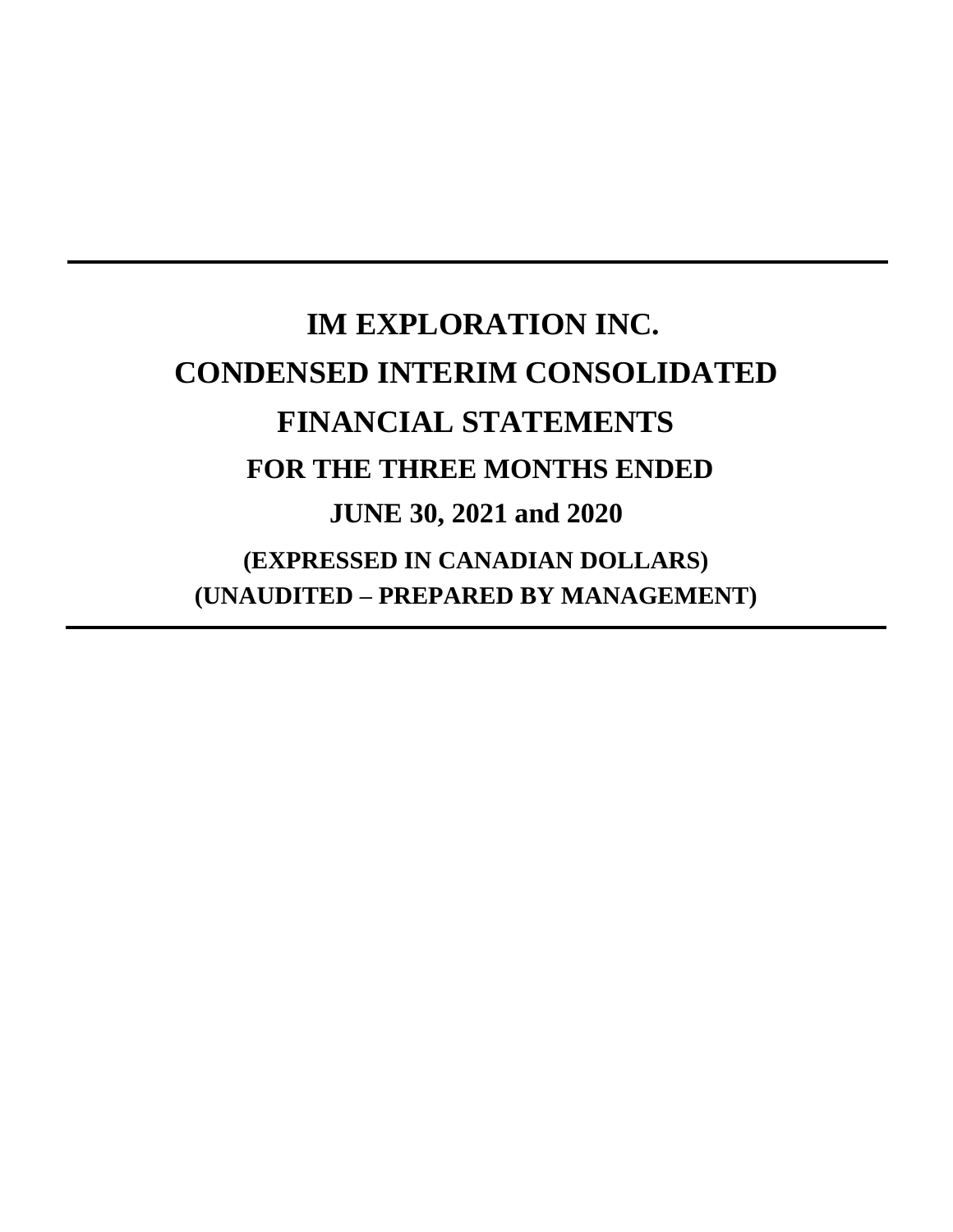# **IM EXPLORATION INC. CONDENSED INTERIM CONSOLIDATED FINANCIAL STATEMENTS FOR THE THREE MONTHS ENDED JUNE 30, 2021 and 2020 (EXPRESSED IN CANADIAN DOLLARS) (UNAUDITED – PREPARED BY MANAGEMENT)**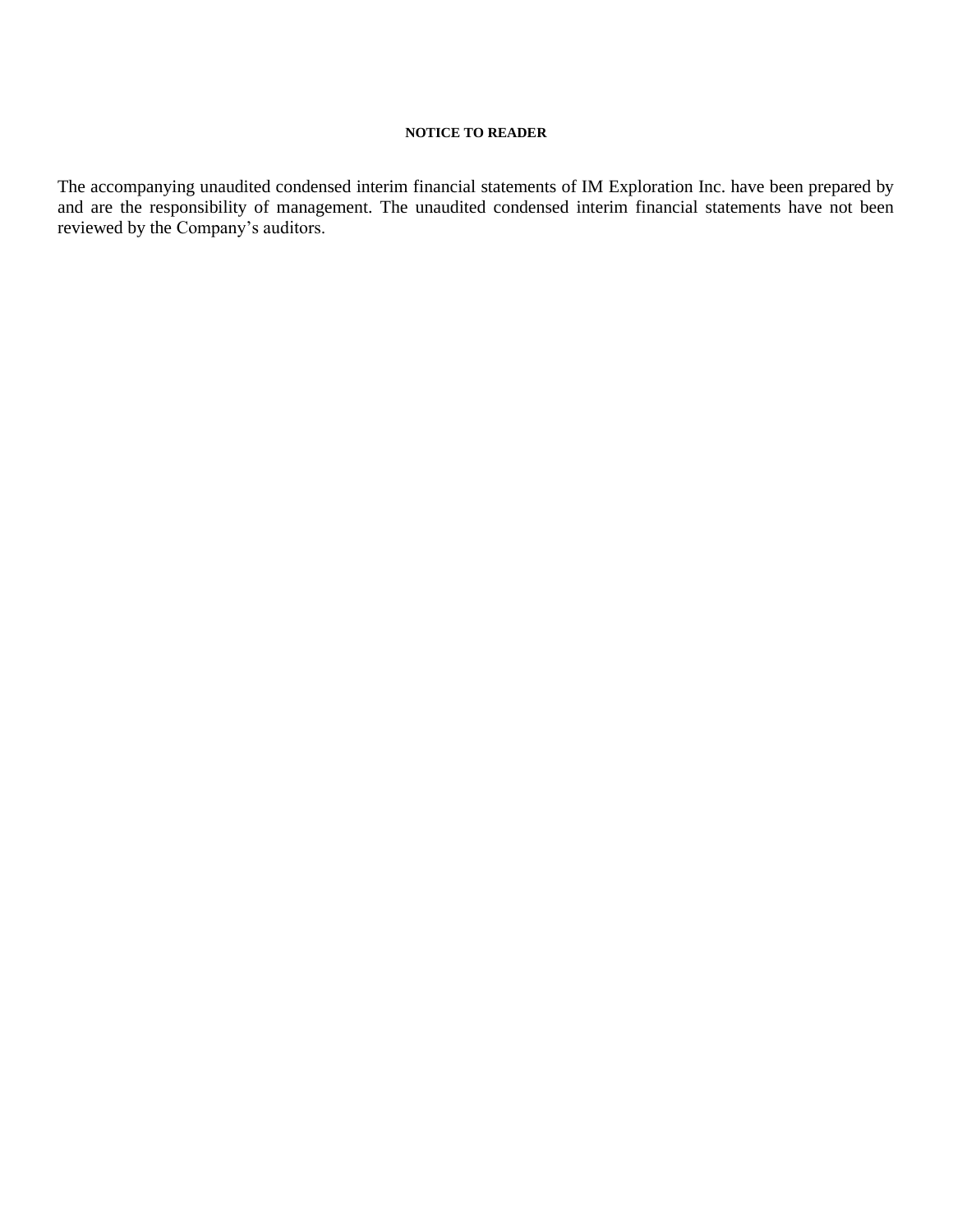# **NOTICE TO READER**

The accompanying unaudited condensed interim financial statements of IM Exploration Inc. have been prepared by and are the responsibility of management. The unaudited condensed interim financial statements have not been reviewed by the Company's auditors.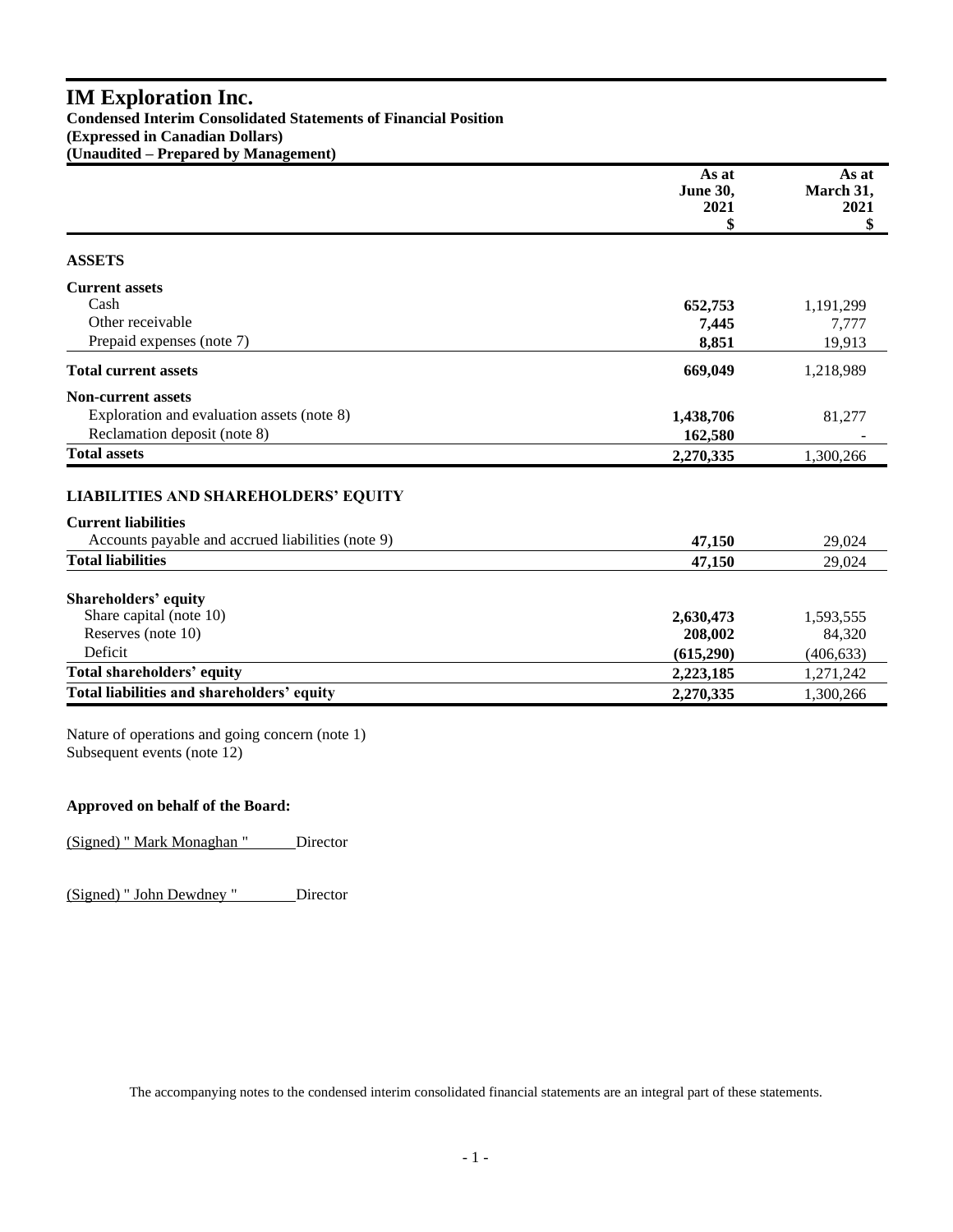# **IM Exploration Inc. Condensed Interim Consolidated Statements of Financial Position (Expressed in Canadian Dollars) (Unaudited – Prepared by Management)**

|                                                   | As at<br>June 30,<br>2021 | As at<br>March 31,<br>2021 |
|---------------------------------------------------|---------------------------|----------------------------|
|                                                   | \$                        | \$                         |
| <b>ASSETS</b>                                     |                           |                            |
| <b>Current assets</b>                             |                           |                            |
| Cash                                              | 652,753                   | 1,191,299                  |
| Other receivable                                  | 7,445                     | 7,777                      |
| Prepaid expenses (note 7)                         | 8,851                     | 19,913                     |
| <b>Total current assets</b>                       | 669,049                   | 1,218,989                  |
| <b>Non-current assets</b>                         |                           |                            |
| Exploration and evaluation assets (note 8)        | 1,438,706                 | 81,277                     |
| Reclamation deposit (note 8)                      | 162,580                   |                            |
| <b>Total assets</b>                               | 2,270,335                 | 1,300,266                  |
| <b>LIABILITIES AND SHAREHOLDERS' EQUITY</b>       |                           |                            |
| <b>Current liabilities</b>                        |                           |                            |
| Accounts payable and accrued liabilities (note 9) | 47,150                    | 29,024                     |
| <b>Total liabilities</b>                          | 47,150                    | 29,024                     |
| <b>Shareholders' equity</b>                       |                           |                            |
| Share capital (note 10)                           | 2,630,473                 | 1,593,555                  |
| Reserves (note 10)                                | 208,002                   | 84,320                     |
| Deficit                                           | (615,290)                 | (406, 633)                 |
| <b>Total shareholders' equity</b>                 | 2,223,185                 | 1,271,242                  |
| Total liabilities and shareholders' equity        | 2,270,335                 | 1,300,266                  |

Nature of operations and going concern (note 1) Subsequent events (note 12)

# **Approved on behalf of the Board:**

(Signed) " Mark Monaghan " Director

(Signed) " John Dewdney " Director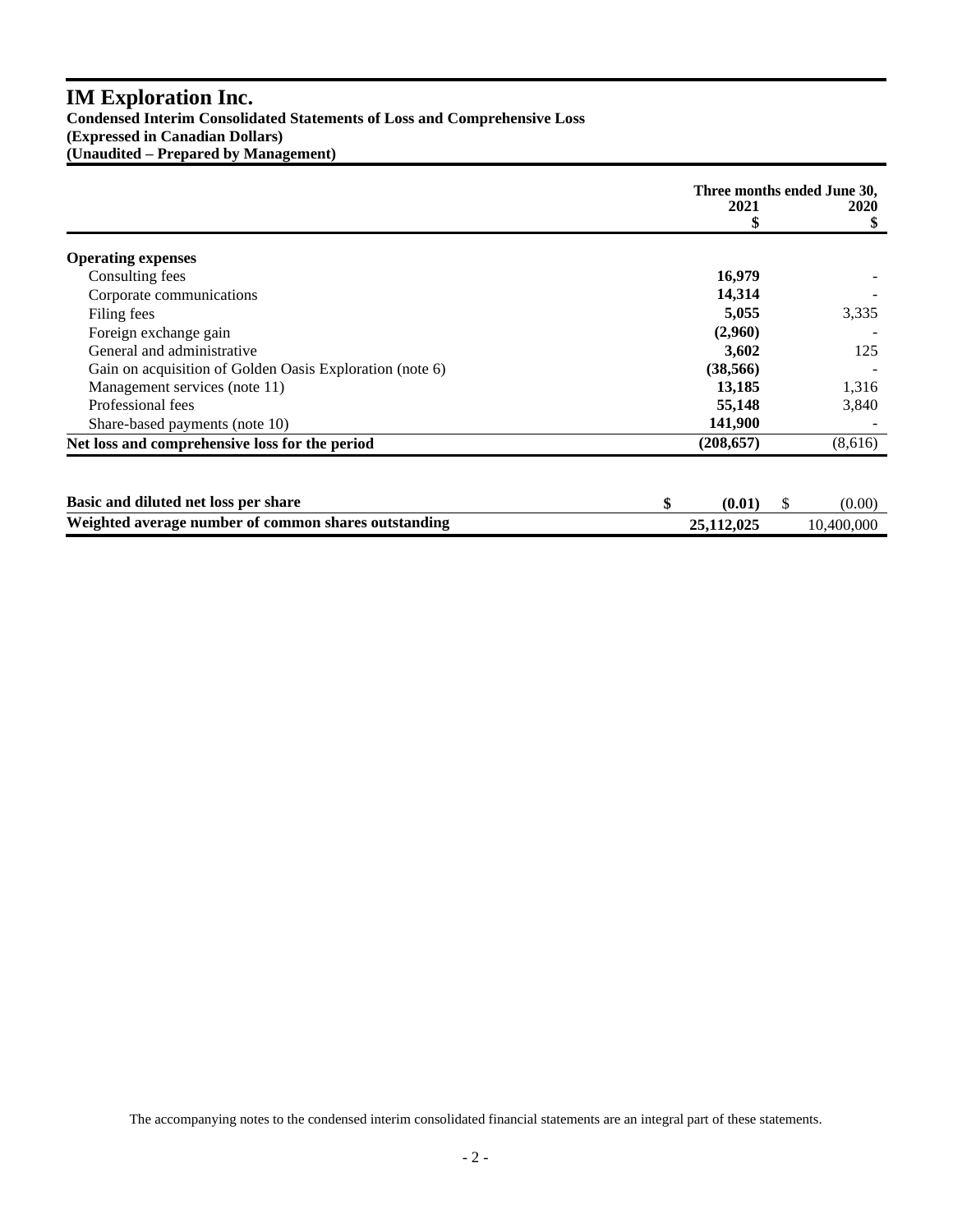# **IM Exploration Inc.**

**Condensed Interim Consolidated Statements of Loss and Comprehensive Loss (Expressed in Canadian Dollars) (Unaudited – Prepared by Management)**

|                                                          | Three months ended June 30, |    |             |
|----------------------------------------------------------|-----------------------------|----|-------------|
|                                                          | 2021                        |    | <b>2020</b> |
|                                                          | \$                          |    | \$          |
| <b>Operating expenses</b>                                |                             |    |             |
| Consulting fees                                          | 16,979                      |    |             |
| Corporate communications                                 | 14,314                      |    |             |
| Filing fees                                              | 5,055                       |    | 3,335       |
| Foreign exchange gain                                    | (2,960)                     |    |             |
| General and administrative                               | 3,602                       |    | 125         |
| Gain on acquisition of Golden Oasis Exploration (note 6) | (38, 566)                   |    |             |
| Management services (note 11)                            | 13,185                      |    | 1,316       |
| Professional fees                                        | 55,148                      |    | 3,840       |
| Share-based payments (note 10)                           | 141,900                     |    |             |
| Net loss and comprehensive loss for the period           | (208, 657)                  |    | (8,616)     |
|                                                          |                             |    |             |
| Basic and diluted net loss per share                     | \$<br>(0.01)                | \$ | (0.00)      |
| Weighted average number of common shares outstanding     | 25,112,025                  |    | 10.400,000  |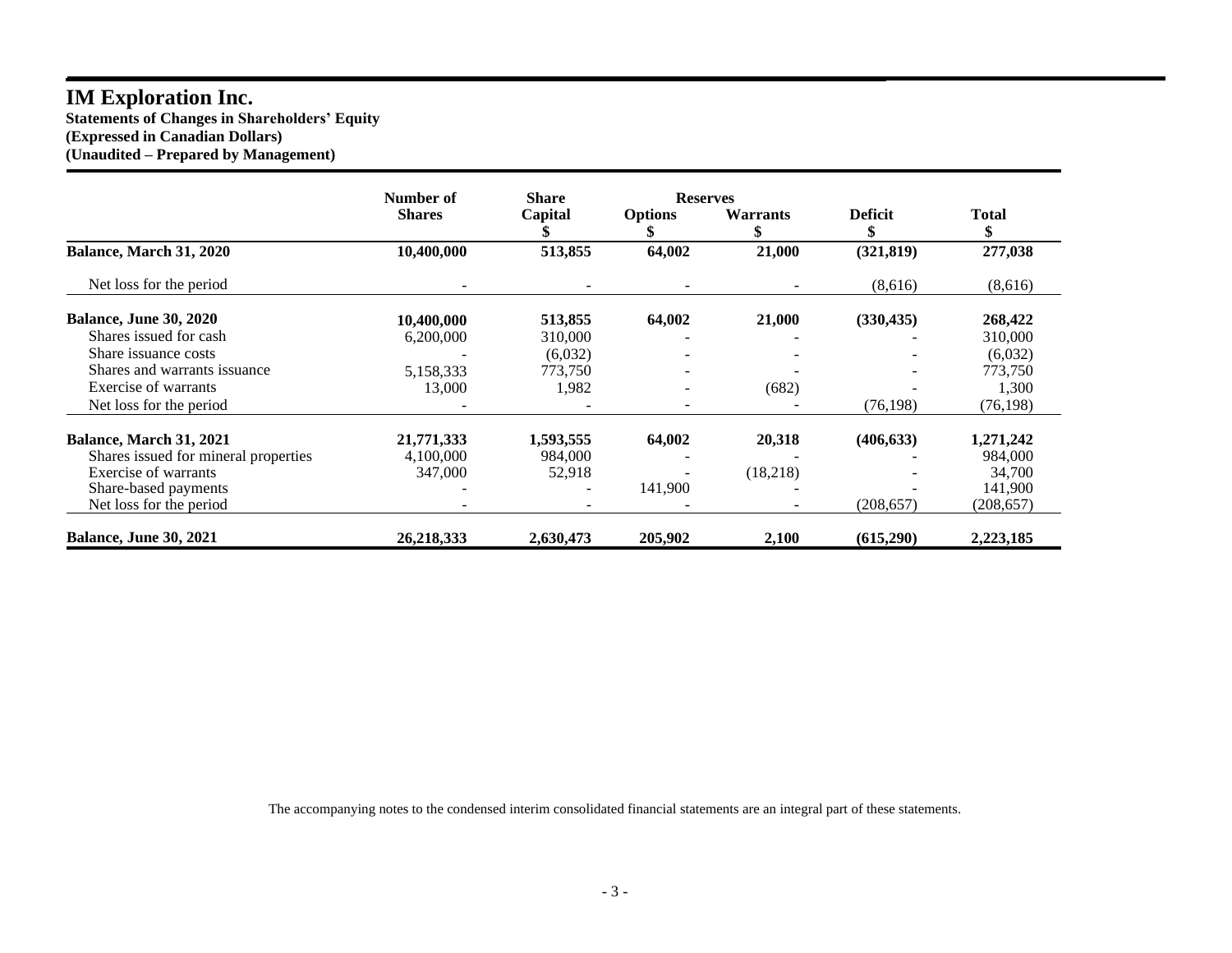# **IM Exploration Inc.**

**Statements of Changes in Shareholders' Equity (Expressed in Canadian Dollars) (Unaudited – Prepared by Management)**

|                                      | Number of     | <b>Share</b> | <b>Reserves</b> |                       |                      |            |
|--------------------------------------|---------------|--------------|-----------------|-----------------------|----------------------|------------|
|                                      | <b>Shares</b> | Capital      | <b>Options</b>  | <b>Warrants</b><br>\$ | <b>Deficit</b><br>\$ | Total      |
| Balance, March 31, 2020              | 10,400,000    | 513,855      | 64,002          | 21,000                | (321, 819)           | 277,038    |
| Net loss for the period              |               |              |                 |                       | (8,616)              | (8,616)    |
| <b>Balance, June 30, 2020</b>        | 10,400,000    | 513,855      | 64,002          | 21,000                | (330, 435)           | 268,422    |
| Shares issued for cash               | 6,200,000     | 310,000      |                 |                       |                      | 310,000    |
| Share issuance costs                 |               | (6,032)      |                 |                       |                      | (6,032)    |
| Shares and warrants issuance         | 5,158,333     | 773,750      |                 |                       |                      | 773,750    |
| Exercise of warrants                 | 13,000        | 1,982        |                 | (682)                 |                      | 1,300      |
| Net loss for the period              |               |              |                 |                       | (76, 198)            | (76, 198)  |
| <b>Balance, March 31, 2021</b>       | 21,771,333    | 1,593,555    | 64,002          | 20,318                | (406, 633)           | 1,271,242  |
| Shares issued for mineral properties | 4.100.000     | 984,000      |                 |                       |                      | 984,000    |
| Exercise of warrants                 | 347,000       | 52,918       |                 | (18,218)              |                      | 34,700     |
| Share-based payments                 |               |              | 141,900         |                       |                      | 141,900    |
| Net loss for the period              |               |              |                 |                       | (208, 657)           | (208, 657) |
| <b>Balance, June 30, 2021</b>        | 26,218,333    | 2,630,473    | 205,902         | 2,100                 | (615,290)            | 2,223,185  |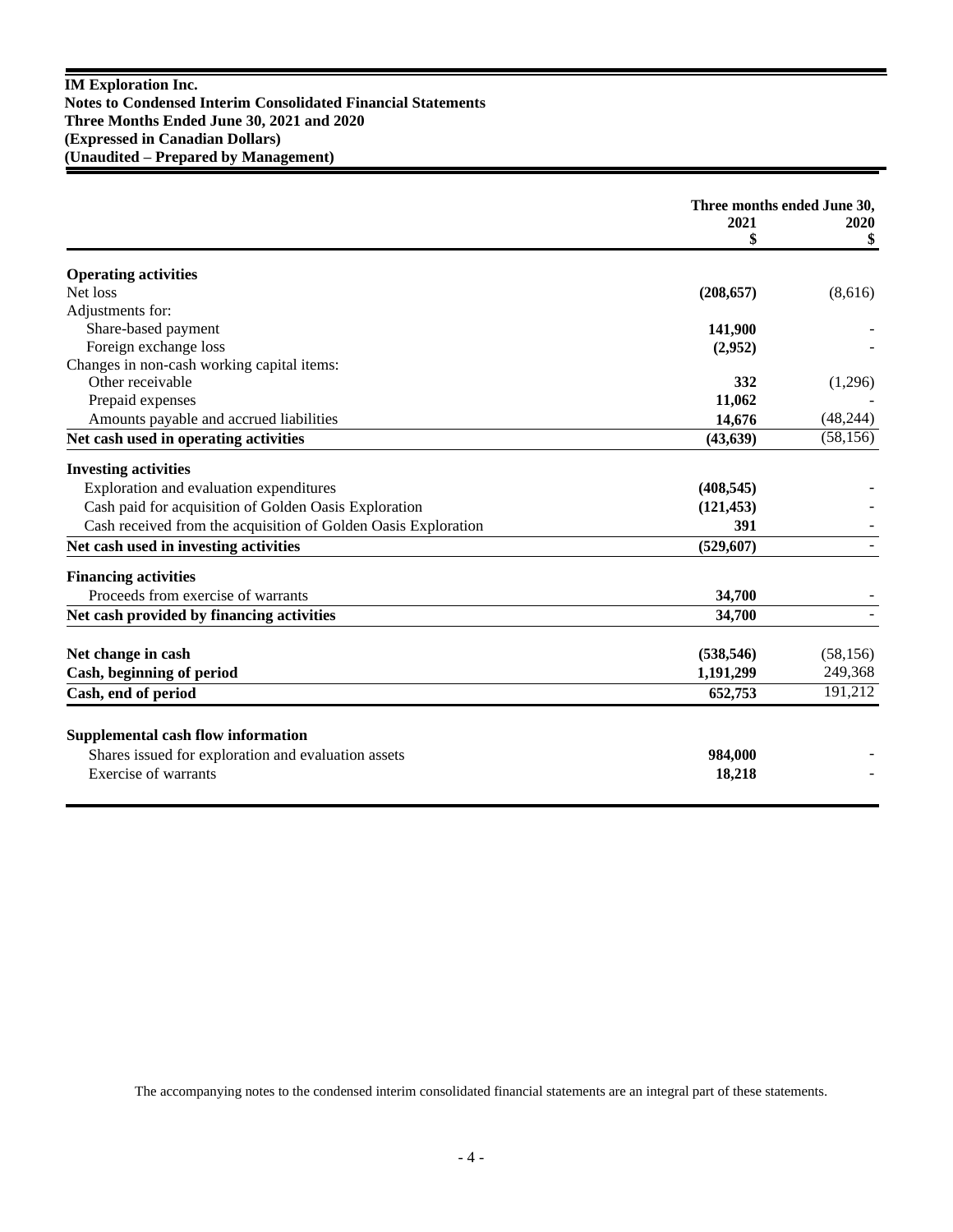|                                                                | Three months ended June 30, |            |
|----------------------------------------------------------------|-----------------------------|------------|
|                                                                | 2021<br>\$                  | 2020<br>\$ |
|                                                                |                             |            |
| <b>Operating activities</b>                                    |                             |            |
| Net loss                                                       | (208, 657)                  | (8,616)    |
| Adjustments for:                                               |                             |            |
| Share-based payment                                            | 141,900                     |            |
| Foreign exchange loss                                          | (2,952)                     |            |
| Changes in non-cash working capital items:                     |                             |            |
| Other receivable                                               | 332                         | (1,296)    |
| Prepaid expenses                                               | 11,062                      |            |
| Amounts payable and accrued liabilities                        | 14,676                      | (48, 244)  |
| Net cash used in operating activities                          | (43, 639)                   | (58, 156)  |
| <b>Investing activities</b>                                    |                             |            |
| Exploration and evaluation expenditures                        | (408, 545)                  |            |
| Cash paid for acquisition of Golden Oasis Exploration          | (121, 453)                  |            |
| Cash received from the acquisition of Golden Oasis Exploration | 391                         |            |
| Net cash used in investing activities                          | (529, 607)                  |            |
| <b>Financing activities</b>                                    |                             |            |
| Proceeds from exercise of warrants                             | 34,700                      |            |
| Net cash provided by financing activities                      | 34,700                      |            |
| Net change in cash                                             | (538, 546)                  | (58, 156)  |
| Cash, beginning of period                                      | 1,191,299                   | 249,368    |
| Cash, end of period                                            | 652,753                     | 191,212    |
|                                                                |                             |            |
| <b>Supplemental cash flow information</b>                      |                             |            |
| Shares issued for exploration and evaluation assets            | 984,000                     |            |
| Exercise of warrants                                           | 18,218                      |            |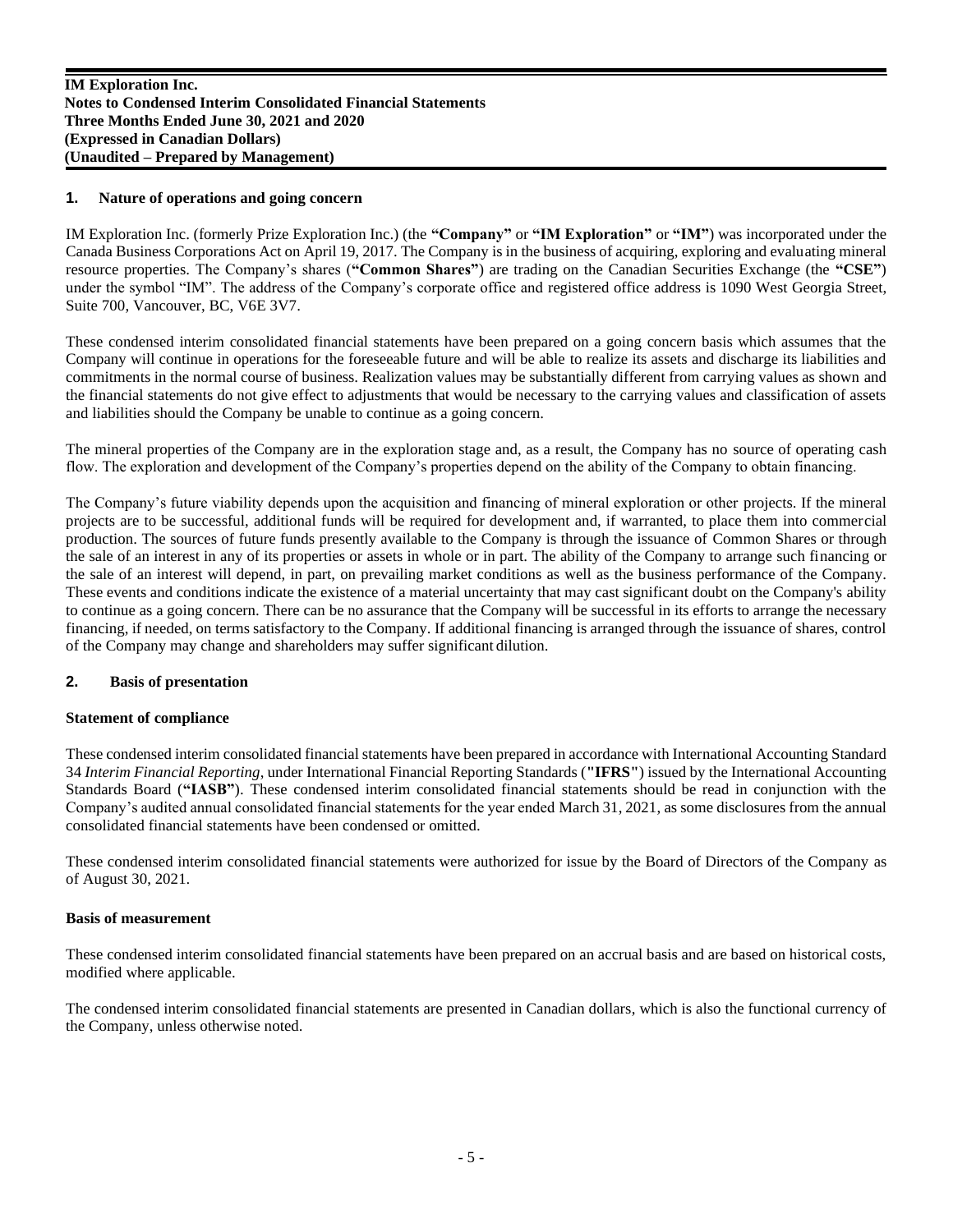#### **1. Nature of operations and going concern**

IM Exploration Inc. (formerly Prize Exploration Inc.) (the **"Company"** or **"IM Exploration"** or **"IM"**) was incorporated under the Canada Business Corporations Act on April 19, 2017. The Company is in the business of acquiring, exploring and evaluating mineral resource properties. The Company's shares (**"Common Shares"**) are trading on the Canadian Securities Exchange (the **"CSE"**) under the symbol "IM". The address of the Company's corporate office and registered office address is 1090 West Georgia Street, Suite 700, Vancouver, BC, V6E 3V7.

These condensed interim consolidated financial statements have been prepared on a going concern basis which assumes that the Company will continue in operations for the foreseeable future and will be able to realize its assets and discharge its liabilities and commitments in the normal course of business. Realization values may be substantially different from carrying values as shown and the financial statements do not give effect to adjustments that would be necessary to the carrying values and classification of assets and liabilities should the Company be unable to continue as a going concern.

The mineral properties of the Company are in the exploration stage and, as a result, the Company has no source of operating cash flow. The exploration and development of the Company's properties depend on the ability of the Company to obtain financing.

The Company's future viability depends upon the acquisition and financing of mineral exploration or other projects. If the mineral projects are to be successful, additional funds will be required for development and, if warranted, to place them into commercial production. The sources of future funds presently available to the Company is through the issuance of Common Shares or through the sale of an interest in any of its properties or assets in whole or in part. The ability of the Company to arrange such financing or the sale of an interest will depend, in part, on prevailing market conditions as well as the business performance of the Company. These events and conditions indicate the existence of a material uncertainty that may cast significant doubt on the Company's ability to continue as a going concern. There can be no assurance that the Company will be successful in its efforts to arrange the necessary financing, if needed, on terms satisfactory to the Company. If additional financing is arranged through the issuance of shares, control of the Company may change and shareholders may suffer significant dilution.

#### **2. Basis of presentation**

#### **Statement of compliance**

These condensed interim consolidated financial statements have been prepared in accordance with International Accounting Standard 34 *Interim Financial Reporting*, under International Financial Reporting Standards (**"IFRS"**) issued by the International Accounting Standards Board (**"IASB"**). These condensed interim consolidated financial statements should be read in conjunction with the Company's audited annual consolidated financial statements for the year ended March 31, 2021, as some disclosures from the annual consolidated financial statements have been condensed or omitted.

These condensed interim consolidated financial statements were authorized for issue by the Board of Directors of the Company as of August 30, 2021.

#### **Basis of measurement**

These condensed interim consolidated financial statements have been prepared on an accrual basis and are based on historical costs, modified where applicable.

The condensed interim consolidated financial statements are presented in Canadian dollars, which is also the functional currency of the Company, unless otherwise noted.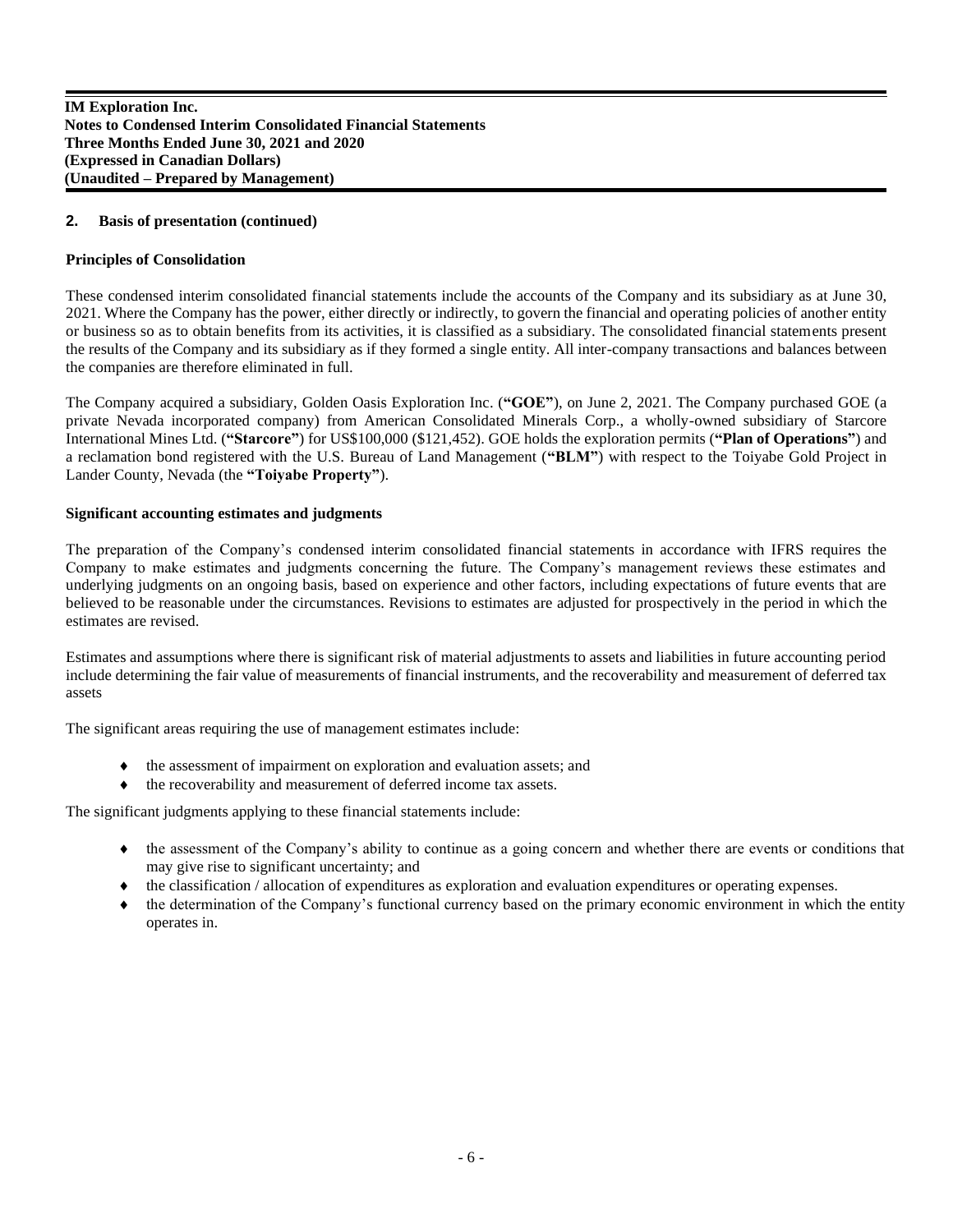# **2. Basis of presentation (continued)**

# **Principles of Consolidation**

These condensed interim consolidated financial statements include the accounts of the Company and its subsidiary as at June 30, 2021. Where the Company has the power, either directly or indirectly, to govern the financial and operating policies of another entity or business so as to obtain benefits from its activities, it is classified as a subsidiary. The consolidated financial statements present the results of the Company and its subsidiary as if they formed a single entity. All inter-company transactions and balances between the companies are therefore eliminated in full.

The Company acquired a subsidiary, Golden Oasis Exploration Inc. (**"GOE"**), on June 2, 2021. The Company purchased GOE (a private Nevada incorporated company) from American Consolidated Minerals Corp., a wholly-owned subsidiary of Starcore International Mines Ltd. (**"Starcore"**) for US\$100,000 (\$121,452). GOE holds the exploration permits (**"Plan of Operations"**) and a reclamation bond registered with the U.S. Bureau of Land Management (**"BLM"**) with respect to the Toiyabe Gold Project in Lander County, Nevada (the **"Toiyabe Property"**).

# **Significant accounting estimates and judgments**

The preparation of the Company's condensed interim consolidated financial statements in accordance with IFRS requires the Company to make estimates and judgments concerning the future. The Company's management reviews these estimates and underlying judgments on an ongoing basis, based on experience and other factors, including expectations of future events that are believed to be reasonable under the circumstances. Revisions to estimates are adjusted for prospectively in the period in which the estimates are revised.

Estimates and assumptions where there is significant risk of material adjustments to assets and liabilities in future accounting period include determining the fair value of measurements of financial instruments, and the recoverability and measurement of deferred tax assets

The significant areas requiring the use of management estimates include:

- the assessment of impairment on exploration and evaluation assets; and
- the recoverability and measurement of deferred income tax assets.

The significant judgments applying to these financial statements include:

- the assessment of the Company's ability to continue as a going concern and whether there are events or conditions that may give rise to significant uncertainty; and
- $\bullet$  the classification / allocation of expenditures as exploration and evaluation expenditures or operating expenses.
- the determination of the Company's functional currency based on the primary economic environment in which the entity operates in.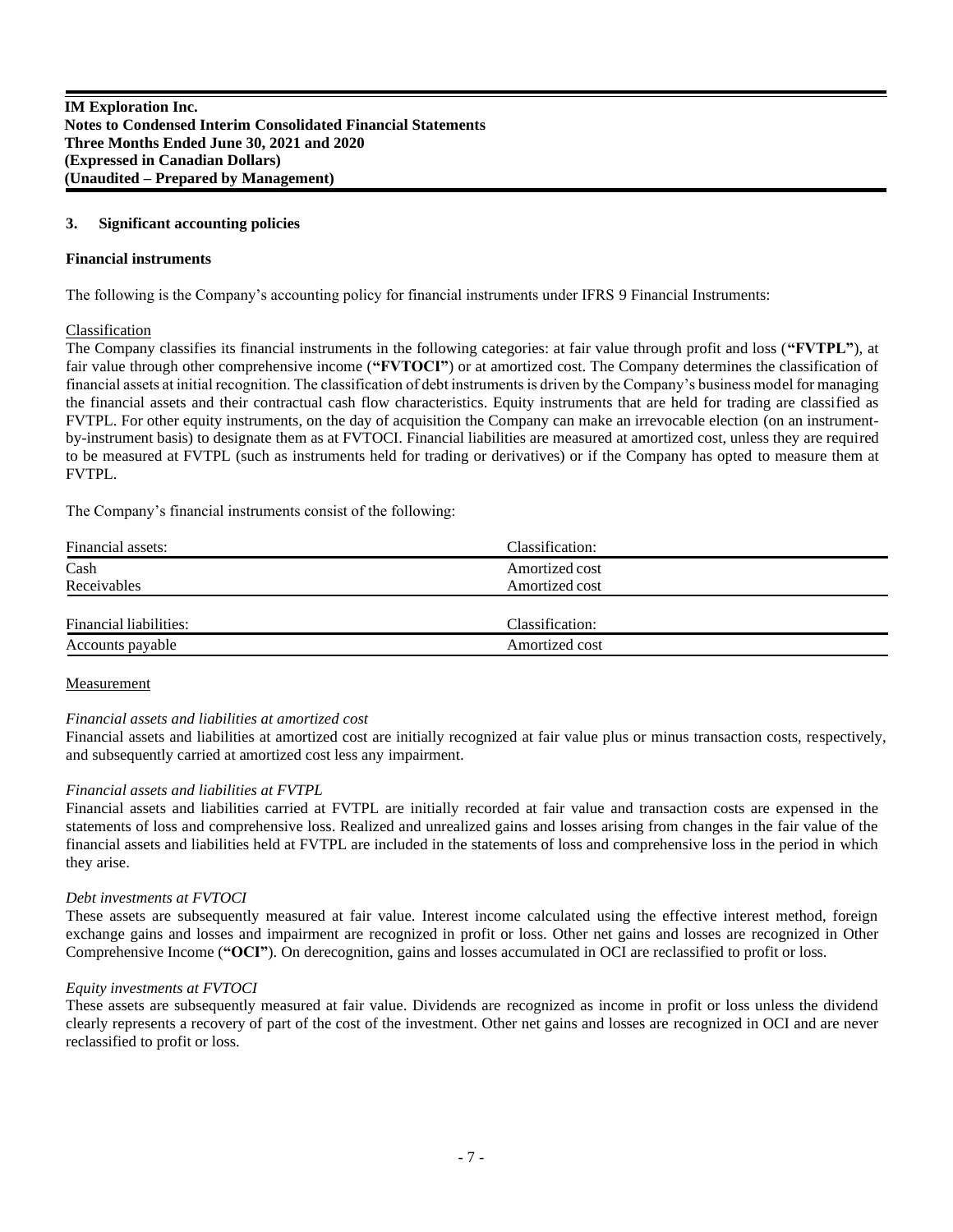#### **3. Significant accounting policies**

#### **Financial instruments**

The following is the Company's accounting policy for financial instruments under IFRS 9 Financial Instruments:

#### Classification

The Company classifies its financial instruments in the following categories: at fair value through profit and loss (**"FVTPL"**), at fair value through other comprehensive income (**"FVTOCI"**) or at amortized cost. The Company determines the classification of financial assets at initial recognition. The classification of debt instruments is driven by the Company's business model for managing the financial assets and their contractual cash flow characteristics. Equity instruments that are held for trading are classified as FVTPL. For other equity instruments, on the day of acquisition the Company can make an irrevocable election (on an instrumentby-instrument basis) to designate them as at FVTOCI. Financial liabilities are measured at amortized cost, unless they are required to be measured at FVTPL (such as instruments held for trading or derivatives) or if the Company has opted to measure them at FVTPL.

The Company's financial instruments consist of the following:

| Financial assets:      | Classification: |
|------------------------|-----------------|
| Cash                   | Amortized cost  |
| Receivables            | Amortized cost  |
|                        |                 |
| Financial liabilities: | Classification: |
| Accounts payable       | Amortized cost  |

#### **Measurement**

# *Financial assets and liabilities at amortized cost*

Financial assets and liabilities at amortized cost are initially recognized at fair value plus or minus transaction costs, respectively, and subsequently carried at amortized cost less any impairment.

# *Financial assets and liabilities at FVTPL*

Financial assets and liabilities carried at FVTPL are initially recorded at fair value and transaction costs are expensed in the statements of loss and comprehensive loss. Realized and unrealized gains and losses arising from changes in the fair value of the financial assets and liabilities held at FVTPL are included in the statements of loss and comprehensive loss in the period in which they arise.

# *Debt investments at FVTOCI*

These assets are subsequently measured at fair value. Interest income calculated using the effective interest method, foreign exchange gains and losses and impairment are recognized in profit or loss. Other net gains and losses are recognized in Other Comprehensive Income (**"OCI"**). On derecognition, gains and losses accumulated in OCI are reclassified to profit or loss.

#### *Equity investments at FVTOCI*

These assets are subsequently measured at fair value. Dividends are recognized as income in profit or loss unless the dividend clearly represents a recovery of part of the cost of the investment. Other net gains and losses are recognized in OCI and are never reclassified to profit or loss.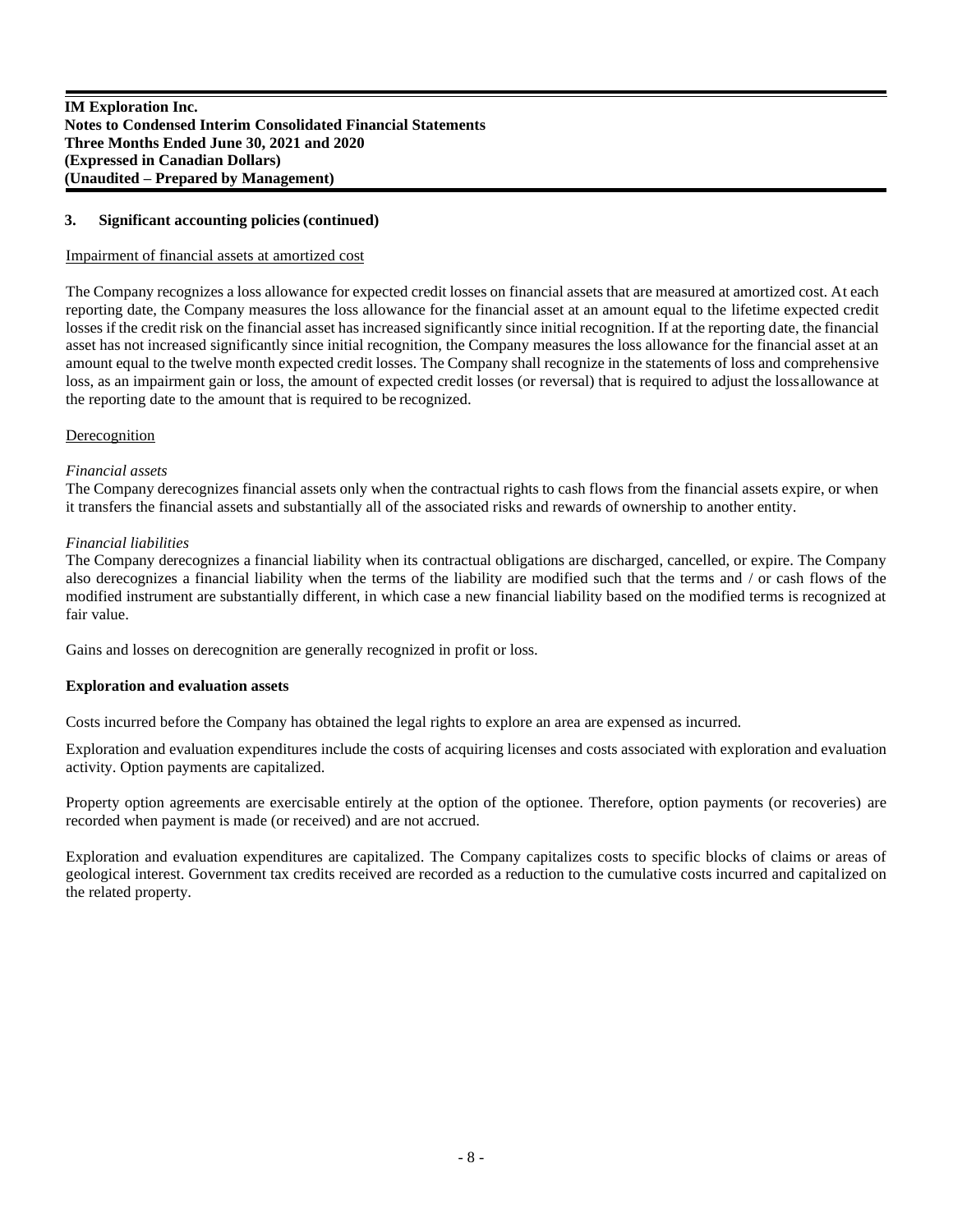#### **3. Significant accounting policies(continued)**

#### Impairment of financial assets at amortized cost

The Company recognizes a loss allowance for expected credit losses on financial assets that are measured at amortized cost. At each reporting date, the Company measures the loss allowance for the financial asset at an amount equal to the lifetime expected credit losses if the credit risk on the financial asset has increased significantly since initial recognition. If at the reporting date, the financial asset has not increased significantly since initial recognition, the Company measures the loss allowance for the financial asset at an amount equal to the twelve month expected credit losses. The Company shall recognize in the statements of loss and comprehensive loss, as an impairment gain or loss, the amount of expected credit losses (or reversal) that is required to adjust the lossallowance at the reporting date to the amount that is required to be recognized.

#### **Derecognition**

#### *Financial assets*

The Company derecognizes financial assets only when the contractual rights to cash flows from the financial assets expire, or when it transfers the financial assets and substantially all of the associated risks and rewards of ownership to another entity.

#### *Financial liabilities*

The Company derecognizes a financial liability when its contractual obligations are discharged, cancelled, or expire. The Company also derecognizes a financial liability when the terms of the liability are modified such that the terms and / or cash flows of the modified instrument are substantially different, in which case a new financial liability based on the modified terms is recognized at fair value.

Gains and losses on derecognition are generally recognized in profit or loss.

#### **Exploration and evaluation assets**

Costs incurred before the Company has obtained the legal rights to explore an area are expensed as incurred.

Exploration and evaluation expenditures include the costs of acquiring licenses and costs associated with exploration and evaluation activity. Option payments are capitalized.

Property option agreements are exercisable entirely at the option of the optionee. Therefore, option payments (or recoveries) are recorded when payment is made (or received) and are not accrued.

Exploration and evaluation expenditures are capitalized. The Company capitalizes costs to specific blocks of claims or areas of geological interest. Government tax credits received are recorded as a reduction to the cumulative costs incurred and capitalized on the related property.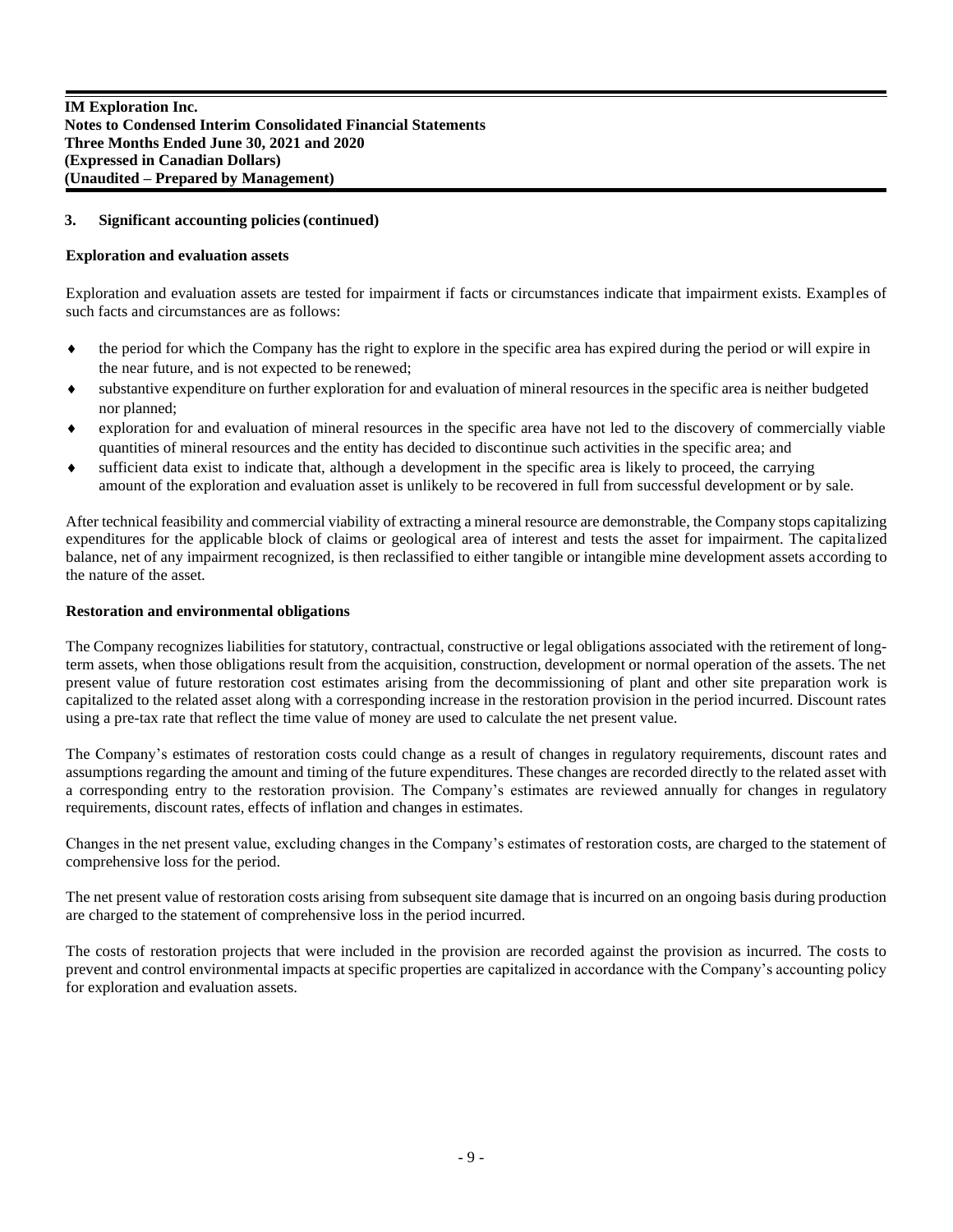# **3. Significant accounting policies(continued)**

# **Exploration and evaluation assets**

Exploration and evaluation assets are tested for impairment if facts or circumstances indicate that impairment exists. Examples of such facts and circumstances are as follows:

- the period for which the Company has the right to explore in the specific area has expired during the period or will expire in the near future, and is not expected to be renewed;
- substantive expenditure on further exploration for and evaluation of mineral resources in the specific area is neither budgeted nor planned;
- exploration for and evaluation of mineral resources in the specific area have not led to the discovery of commercially viable quantities of mineral resources and the entity has decided to discontinue such activities in the specific area; and
- sufficient data exist to indicate that, although a development in the specific area is likely to proceed, the carrying amount of the exploration and evaluation asset is unlikely to be recovered in full from successful development or by sale.

After technical feasibility and commercial viability of extracting a mineral resource are demonstrable, the Company stops capitalizing expenditures for the applicable block of claims or geological area of interest and tests the asset for impairment. The capitalized balance, net of any impairment recognized, is then reclassified to either tangible or intangible mine development assets according to the nature of the asset.

# **Restoration and environmental obligations**

The Company recognizes liabilities for statutory, contractual, constructive or legal obligations associated with the retirement of longterm assets, when those obligations result from the acquisition, construction, development or normal operation of the assets. The net present value of future restoration cost estimates arising from the decommissioning of plant and other site preparation work is capitalized to the related asset along with a corresponding increase in the restoration provision in the period incurred. Discount rates using a pre-tax rate that reflect the time value of money are used to calculate the net present value.

The Company's estimates of restoration costs could change as a result of changes in regulatory requirements, discount rates and assumptions regarding the amount and timing of the future expenditures. These changes are recorded directly to the related asset with a corresponding entry to the restoration provision. The Company's estimates are reviewed annually for changes in regulatory requirements, discount rates, effects of inflation and changes in estimates.

Changes in the net present value, excluding changes in the Company's estimates of restoration costs, are charged to the statement of comprehensive loss for the period.

The net present value of restoration costs arising from subsequent site damage that is incurred on an ongoing basis during production are charged to the statement of comprehensive loss in the period incurred.

The costs of restoration projects that were included in the provision are recorded against the provision as incurred. The costs to prevent and control environmental impacts at specific properties are capitalized in accordance with the Company's accounting policy for exploration and evaluation assets.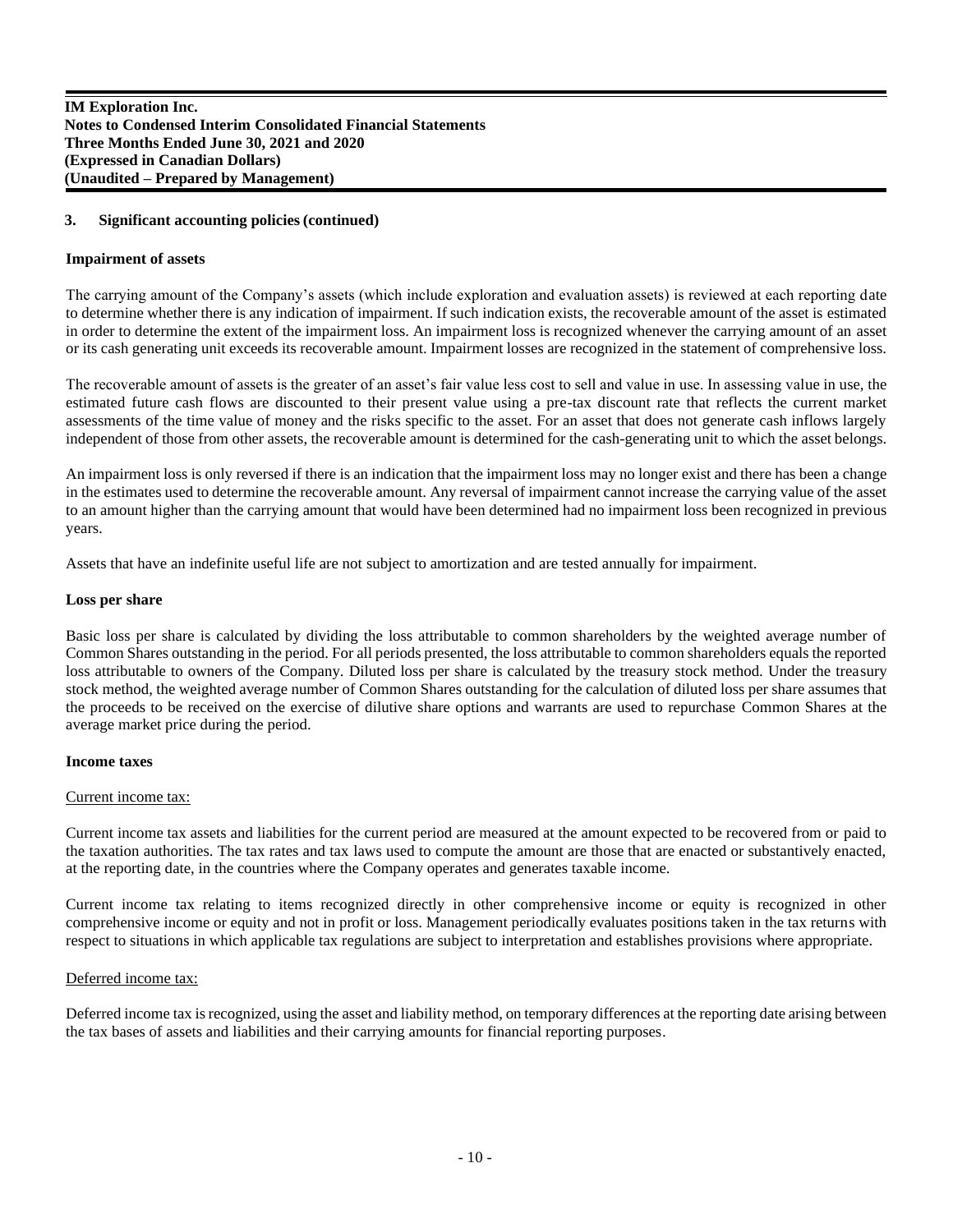# **3. Significant accounting policies(continued)**

#### **Impairment of assets**

The carrying amount of the Company's assets (which include exploration and evaluation assets) is reviewed at each reporting date to determine whether there is any indication of impairment. If such indication exists, the recoverable amount of the asset is estimated in order to determine the extent of the impairment loss. An impairment loss is recognized whenever the carrying amount of an asset or its cash generating unit exceeds its recoverable amount. Impairment losses are recognized in the statement of comprehensive loss.

The recoverable amount of assets is the greater of an asset's fair value less cost to sell and value in use. In assessing value in use, the estimated future cash flows are discounted to their present value using a pre-tax discount rate that reflects the current market assessments of the time value of money and the risks specific to the asset. For an asset that does not generate cash inflows largely independent of those from other assets, the recoverable amount is determined for the cash-generating unit to which the asset belongs.

An impairment loss is only reversed if there is an indication that the impairment loss may no longer exist and there has been a change in the estimates used to determine the recoverable amount. Any reversal of impairment cannot increase the carrying value of the asset to an amount higher than the carrying amount that would have been determined had no impairment loss been recognized in previous years.

Assets that have an indefinite useful life are not subject to amortization and are tested annually for impairment.

#### **Loss per share**

Basic loss per share is calculated by dividing the loss attributable to common shareholders by the weighted average number of Common Shares outstanding in the period. For all periods presented, the loss attributable to common shareholders equals the reported loss attributable to owners of the Company. Diluted loss per share is calculated by the treasury stock method. Under the treasury stock method, the weighted average number of Common Shares outstanding for the calculation of diluted loss per share assumes that the proceeds to be received on the exercise of dilutive share options and warrants are used to repurchase Common Shares at the average market price during the period.

#### **Income taxes**

# Current income tax:

Current income tax assets and liabilities for the current period are measured at the amount expected to be recovered from or paid to the taxation authorities. The tax rates and tax laws used to compute the amount are those that are enacted or substantively enacted, at the reporting date, in the countries where the Company operates and generates taxable income.

Current income tax relating to items recognized directly in other comprehensive income or equity is recognized in other comprehensive income or equity and not in profit or loss. Management periodically evaluates positions taken in the tax returns with respect to situations in which applicable tax regulations are subject to interpretation and establishes provisions where appropriate.

#### Deferred income tax:

Deferred income tax is recognized, using the asset and liability method, on temporary differences at the reporting date arising between the tax bases of assets and liabilities and their carrying amounts for financial reporting purposes.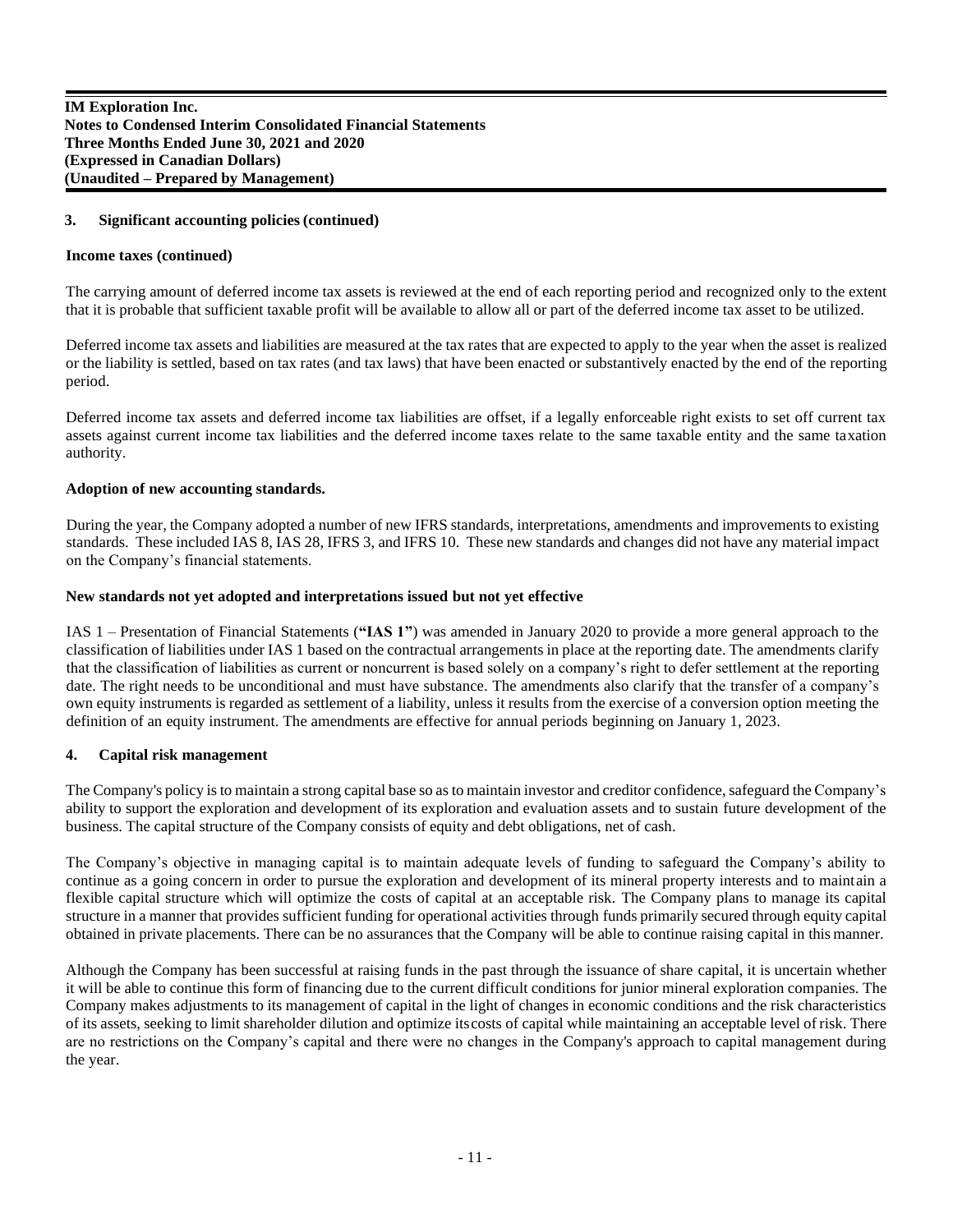#### **3. Significant accounting policies(continued)**

#### **Income taxes (continued)**

The carrying amount of deferred income tax assets is reviewed at the end of each reporting period and recognized only to the extent that it is probable that sufficient taxable profit will be available to allow all or part of the deferred income tax asset to be utilized.

Deferred income tax assets and liabilities are measured at the tax rates that are expected to apply to the year when the asset is realized or the liability is settled, based on tax rates (and tax laws) that have been enacted or substantively enacted by the end of the reporting period.

Deferred income tax assets and deferred income tax liabilities are offset, if a legally enforceable right exists to set off current tax assets against current income tax liabilities and the deferred income taxes relate to the same taxable entity and the same taxation authority.

#### **Adoption of new accounting standards.**

During the year, the Company adopted a number of new IFRS standards, interpretations, amendments and improvements to existing standards. These included IAS 8, IAS 28, IFRS 3, and IFRS 10. These new standards and changes did not have any material impact on the Company's financial statements.

#### **New standards not yet adopted and interpretations issued but not yet effective**

IAS 1 – Presentation of Financial Statements (**"IAS 1"**) was amended in January 2020 to provide a more general approach to the classification of liabilities under IAS 1 based on the contractual arrangements in place at the reporting date. The amendments clarify that the classification of liabilities as current or noncurrent is based solely on a company's right to defer settlement at the reporting date. The right needs to be unconditional and must have substance. The amendments also clarify that the transfer of a company's own equity instruments is regarded as settlement of a liability, unless it results from the exercise of a conversion option meeting the definition of an equity instrument. The amendments are effective for annual periods beginning on January 1, 2023.

#### **4. Capital risk management**

The Company's policy is to maintain a strong capital base so as to maintain investor and creditor confidence, safeguard the Company's ability to support the exploration and development of its exploration and evaluation assets and to sustain future development of the business. The capital structure of the Company consists of equity and debt obligations, net of cash.

The Company's objective in managing capital is to maintain adequate levels of funding to safeguard the Company's ability to continue as a going concern in order to pursue the exploration and development of its mineral property interests and to maintain a flexible capital structure which will optimize the costs of capital at an acceptable risk. The Company plans to manage its capital structure in a manner that provides sufficient funding for operational activities through funds primarily secured through equity capital obtained in private placements. There can be no assurances that the Company will be able to continue raising capital in this manner.

Although the Company has been successful at raising funds in the past through the issuance of share capital, it is uncertain whether it will be able to continue this form of financing due to the current difficult conditions for junior mineral exploration companies. The Company makes adjustments to its management of capital in the light of changes in economic conditions and the risk characteristics of its assets, seeking to limit shareholder dilution and optimize itscosts of capital while maintaining an acceptable level of risk. There are no restrictions on the Company's capital and there were no changes in the Company's approach to capital management during the year.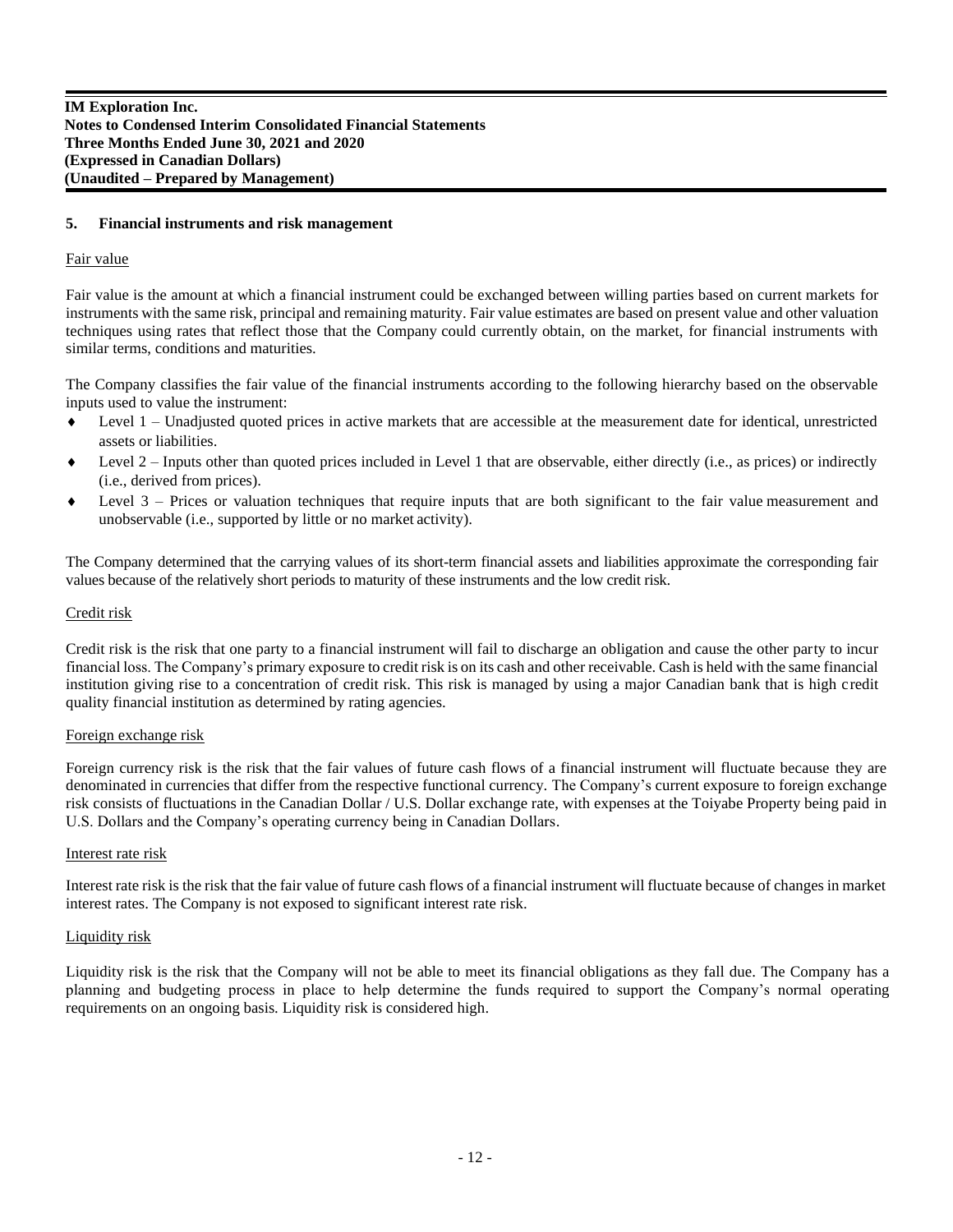#### **5. Financial instruments and risk management**

#### Fair value

Fair value is the amount at which a financial instrument could be exchanged between willing parties based on current markets for instruments with the same risk, principal and remaining maturity. Fair value estimates are based on present value and other valuation techniques using rates that reflect those that the Company could currently obtain, on the market, for financial instruments with similar terms, conditions and maturities.

The Company classifies the fair value of the financial instruments according to the following hierarchy based on the observable inputs used to value the instrument:

- $\bullet$  Level 1 Unadjusted quoted prices in active markets that are accessible at the measurement date for identical, unrestricted assets or liabilities.
- $\bullet$  Level 2 Inputs other than quoted prices included in Level 1 that are observable, either directly (i.e., as prices) or indirectly (i.e., derived from prices).
- Level 3 Prices or valuation techniques that require inputs that are both significant to the fair value measurement and unobservable (i.e., supported by little or no market activity).

The Company determined that the carrying values of its short-term financial assets and liabilities approximate the corresponding fair values because of the relatively short periods to maturity of these instruments and the low credit risk.

#### Credit risk

Credit risk is the risk that one party to a financial instrument will fail to discharge an obligation and cause the other party to incur financial loss. The Company's primary exposure to credit risk is on its cash and other receivable. Cash is held with the same financial institution giving rise to a concentration of credit risk. This risk is managed by using a major Canadian bank that is high credit quality financial institution as determined by rating agencies.

#### Foreign exchange risk

Foreign currency risk is the risk that the fair values of future cash flows of a financial instrument will fluctuate because they are denominated in currencies that differ from the respective functional currency. The Company's current exposure to foreign exchange risk consists of fluctuations in the Canadian Dollar / U.S. Dollar exchange rate, with expenses at the Toiyabe Property being paid in U.S. Dollars and the Company's operating currency being in Canadian Dollars.

#### Interest rate risk

Interest rate risk is the risk that the fair value of future cash flows of a financial instrument will fluctuate because of changes in market interest rates. The Company is not exposed to significant interest rate risk.

#### Liquidity risk

Liquidity risk is the risk that the Company will not be able to meet its financial obligations as they fall due. The Company has a planning and budgeting process in place to help determine the funds required to support the Company's normal operating requirements on an ongoing basis. Liquidity risk is considered high.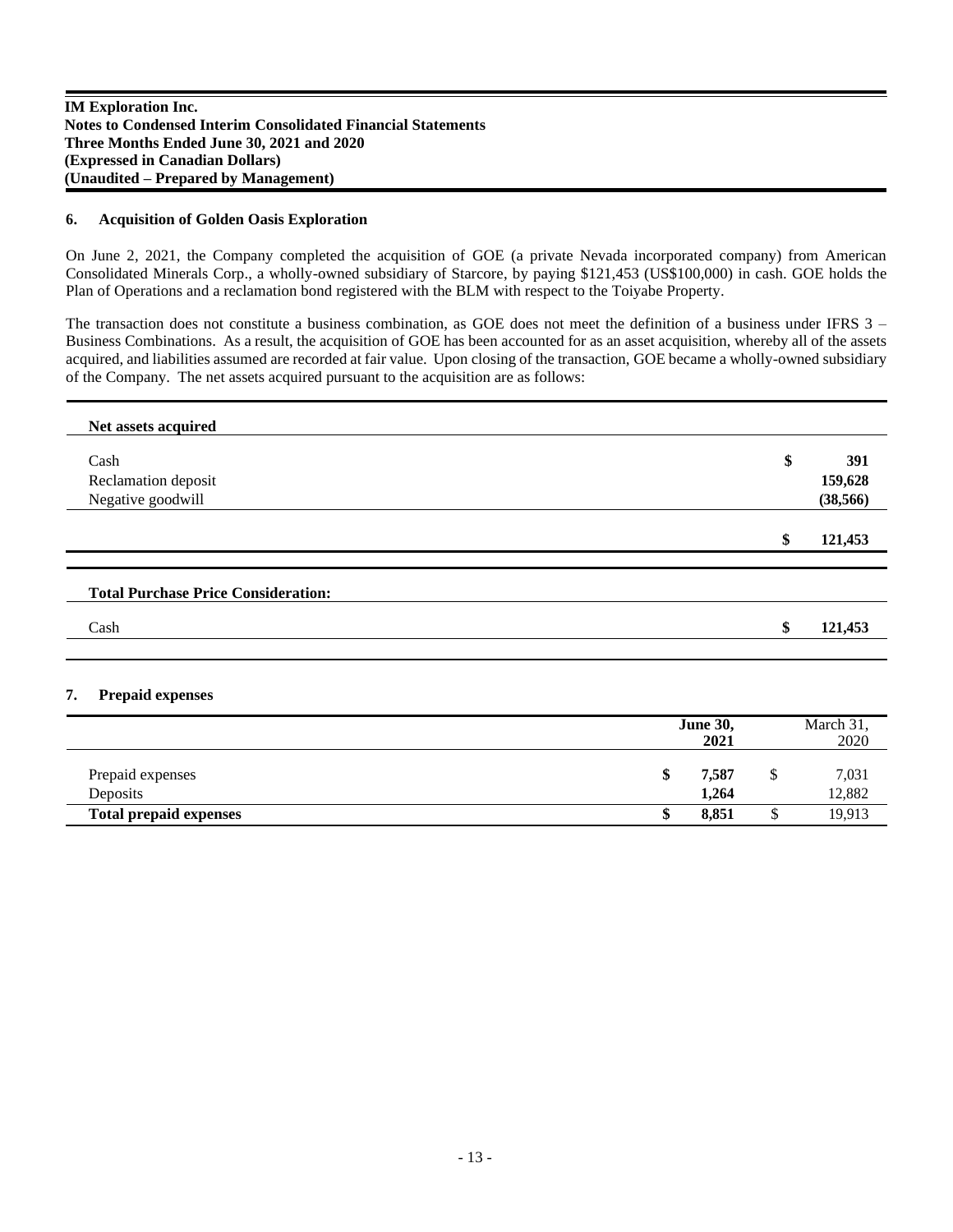#### **6. Acquisition of Golden Oasis Exploration**

On June 2, 2021, the Company completed the acquisition of GOE (a private Nevada incorporated company) from American Consolidated Minerals Corp., a wholly-owned subsidiary of Starcore, by paying \$121,453 (US\$100,000) in cash. GOE holds the Plan of Operations and a reclamation bond registered with the BLM with respect to the Toiyabe Property.

The transaction does not constitute a business combination, as GOE does not meet the definition of a business under IFRS 3 – Business Combinations. As a result, the acquisition of GOE has been accounted for as an asset acquisition, whereby all of the assets acquired, and liabilities assumed are recorded at fair value. Upon closing of the transaction, GOE became a wholly-owned subsidiary of the Company. The net assets acquired pursuant to the acquisition are as follows:

| Net assets acquired                        |               |
|--------------------------------------------|---------------|
| Cash                                       | \$<br>391     |
| Reclamation deposit                        | 159,628       |
| Negative goodwill                          | (38, 566)     |
|                                            | \$<br>121,453 |
|                                            |               |
| <b>Total Purchase Price Consideration:</b> |               |
| Cash                                       | \$<br>121,453 |
|                                            |               |

# **7. Prepaid expenses**

|                               |    | <b>June 30,</b><br>2021 |   | March 31,<br>2020 |
|-------------------------------|----|-------------------------|---|-------------------|
|                               |    |                         |   |                   |
| Prepaid expenses              | ۰Ρ | 7,587                   | Φ | 7,031             |
| Deposits                      |    | 1.264                   |   | 12,882            |
| <b>Total prepaid expenses</b> |    | 8,851                   |   | 19,913            |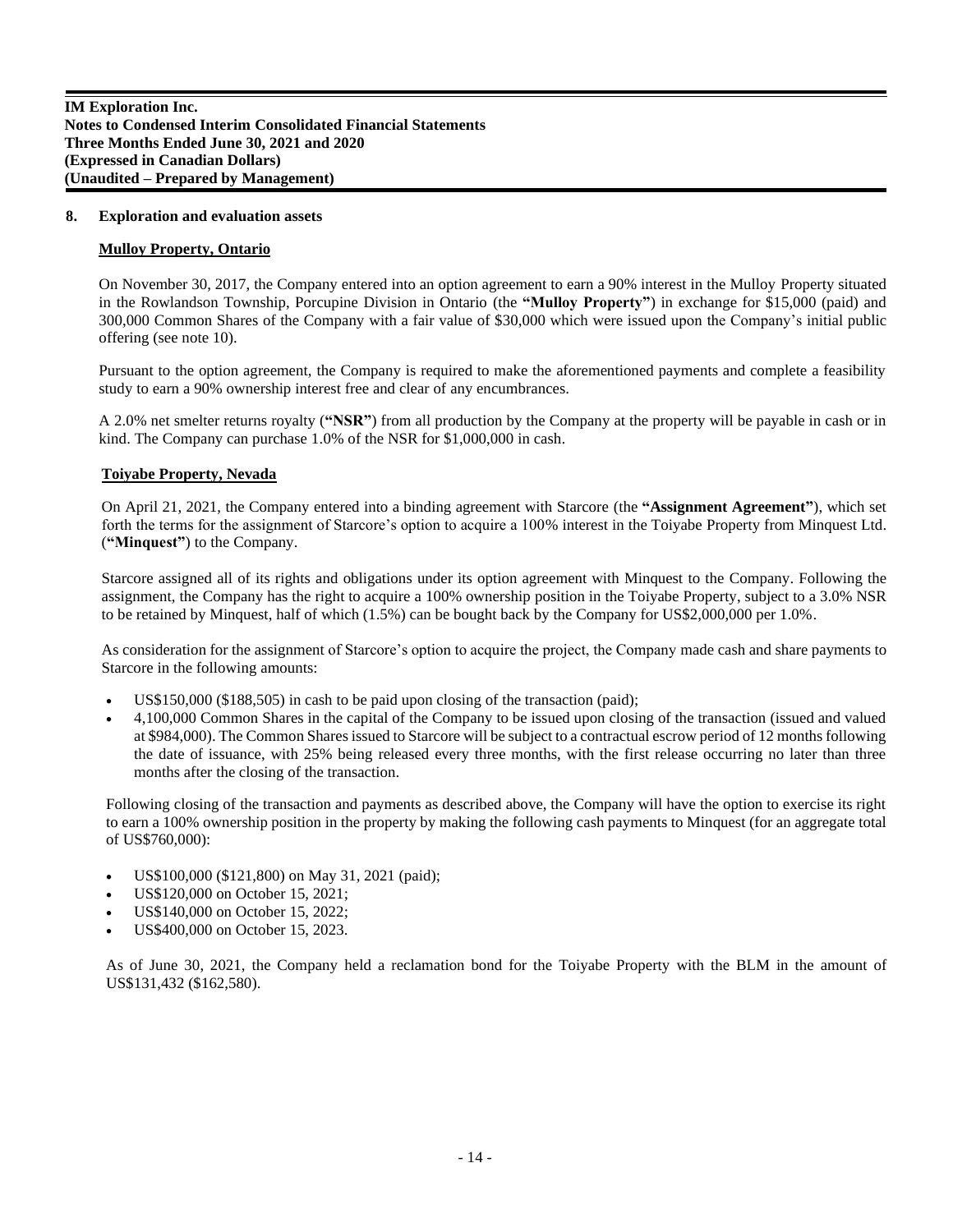#### **8. Exploration and evaluation assets**

#### **Mulloy Property, Ontario**

On November 30, 2017, the Company entered into an option agreement to earn a 90% interest in the Mulloy Property situated in the Rowlandson Township, Porcupine Division in Ontario (the **"Mulloy Property"**) in exchange for \$15,000 (paid) and 300,000 Common Shares of the Company with a fair value of \$30,000 which were issued upon the Company's initial public offering (see note 10).

Pursuant to the option agreement, the Company is required to make the aforementioned payments and complete a feasibility study to earn a 90% ownership interest free and clear of any encumbrances.

A 2.0% net smelter returns royalty (**"NSR"**) from all production by the Company at the property will be payable in cash or in kind. The Company can purchase 1.0% of the NSR for \$1,000,000 in cash.

# **Toiyabe Property, Nevada**

On April 21, 2021, the Company entered into a binding agreement with Starcore (the **"Assignment Agreement"**), which set forth the terms for the assignment of Starcore's option to acquire a 100% interest in the Toiyabe Property from Minquest Ltd. (**"Minquest"**) to the Company.

Starcore assigned all of its rights and obligations under its option agreement with Minquest to the Company. Following the assignment, the Company has the right to acquire a 100% ownership position in the Toiyabe Property, subject to a 3.0% NSR to be retained by Minquest, half of which (1.5%) can be bought back by the Company for US\$2,000,000 per 1.0%.

As consideration for the assignment of Starcore's option to acquire the project, the Company made cash and share payments to Starcore in the following amounts:

- US\$150,000 (\$188,505) in cash to be paid upon closing of the transaction (paid);
- 4,100,000 Common Shares in the capital of the Company to be issued upon closing of the transaction (issued and valued at \$984,000). The Common Shares issued to Starcore will be subject to a contractual escrow period of 12 months following the date of issuance, with 25% being released every three months, with the first release occurring no later than three months after the closing of the transaction.

Following closing of the transaction and payments as described above, the Company will have the option to exercise its right to earn a 100% ownership position in the property by making the following cash payments to Minquest (for an aggregate total of US\$760,000):

- US\$100,000 (\$121,800) on May 31, 2021 (paid);
- US\$120,000 on October 15, 2021;
- US\$140,000 on October 15, 2022;
- US\$400,000 on October 15, 2023.

As of June 30, 2021, the Company held a reclamation bond for the Toiyabe Property with the BLM in the amount of US\$131,432 (\$162,580).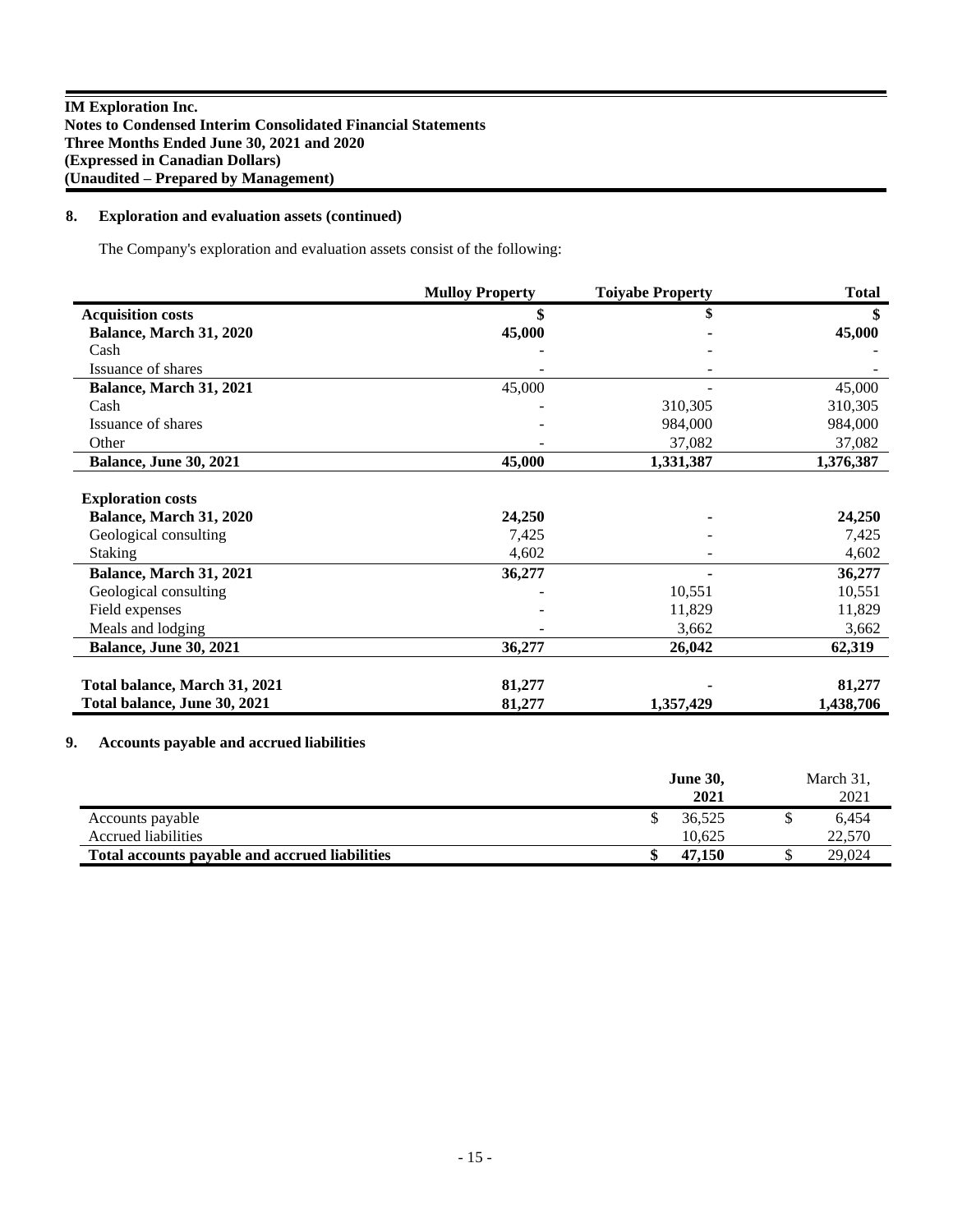# **8. Exploration and evaluation assets (continued)**

The Company's exploration and evaluation assets consist of the following:

|                               | <b>Mulloy Property</b> | <b>Toiyabe Property</b> | <b>Total</b>  |
|-------------------------------|------------------------|-------------------------|---------------|
| <b>Acquisition costs</b>      |                        | \$                      | <sup>\$</sup> |
| Balance, March 31, 2020       | 45,000                 |                         | 45,000        |
| Cash                          |                        |                         |               |
| Issuance of shares            |                        |                         |               |
| Balance, March 31, 2021       | 45,000                 |                         | 45,000        |
| Cash                          |                        | 310,305                 | 310,305       |
| Issuance of shares            |                        | 984,000                 | 984,000       |
| Other                         |                        | 37,082                  | 37,082        |
| <b>Balance, June 30, 2021</b> | 45,000                 | 1,331,387               | 1,376,387     |
| <b>Exploration costs</b>      |                        |                         |               |
| Balance, March 31, 2020       | 24,250                 |                         | 24,250        |
| Geological consulting         | 7,425                  |                         | 7,425         |
| <b>Staking</b>                | 4,602                  |                         | 4,602         |
| Balance, March 31, 2021       | 36,277                 |                         | 36,277        |
| Geological consulting         |                        | 10,551                  | 10,551        |
| Field expenses                |                        | 11,829                  | 11,829        |
| Meals and lodging             |                        | 3,662                   | 3,662         |
| <b>Balance, June 30, 2021</b> | 36,277                 | 26,042                  | 62,319        |
|                               |                        |                         |               |
| Total balance, March 31, 2021 | 81,277                 |                         | 81,277        |
| Total balance, June 30, 2021  | 81,277                 | 1,357,429               | 1,438,706     |

# **9. Accounts payable and accrued liabilities**

|                                                | <b>June 30,</b><br>2021 | March 31,<br>2021 |
|------------------------------------------------|-------------------------|-------------------|
| Accounts payable                               | 36,525                  | 6.454             |
| Accrued liabilities                            | 10.625                  | 22,570            |
| Total accounts payable and accrued liabilities | 47.150                  | 29,024            |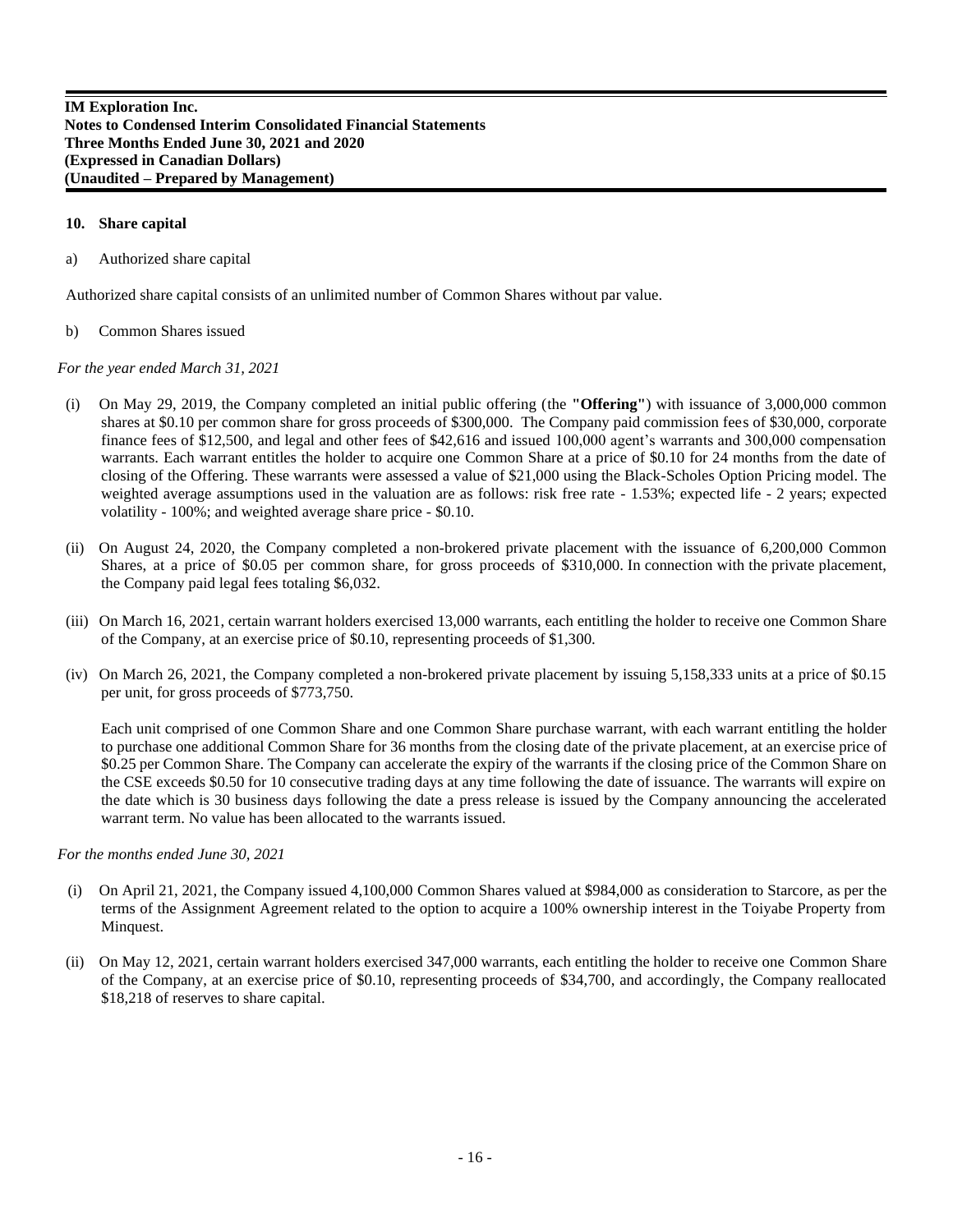#### **10. Share capital**

a) Authorized share capital

Authorized share capital consists of an unlimited number of Common Shares without par value.

#### b) Common Shares issued

*For the year ended March 31, 2021* 

- (i) On May 29, 2019, the Company completed an initial public offering (the **"Offering"**) with issuance of 3,000,000 common shares at \$0.10 per common share for gross proceeds of \$300,000. The Company paid commission fees of \$30,000, corporate finance fees of \$12,500, and legal and other fees of \$42,616 and issued 100,000 agent's warrants and 300,000 compensation warrants. Each warrant entitles the holder to acquire one Common Share at a price of \$0.10 for 24 months from the date of closing of the Offering. These warrants were assessed a value of \$21,000 using the Black-Scholes Option Pricing model. The weighted average assumptions used in the valuation are as follows: risk free rate - 1.53%; expected life - 2 years; expected volatility - 100%; and weighted average share price - \$0.10.
- (ii) On August 24, 2020, the Company completed a non-brokered private placement with the issuance of 6,200,000 Common Shares, at a price of \$0.05 per common share, for gross proceeds of \$310,000. In connection with the private placement, the Company paid legal fees totaling \$6,032.
- (iii) On March 16, 2021, certain warrant holders exercised 13,000 warrants, each entitling the holder to receive one Common Share of the Company, at an exercise price of \$0.10, representing proceeds of \$1,300.
- (iv) On March 26, 2021, the Company completed a non-brokered private placement by issuing 5,158,333 units at a price of \$0.15 per unit, for gross proceeds of \$773,750.

Each unit comprised of one Common Share and one Common Share purchase warrant, with each warrant entitling the holder to purchase one additional Common Share for 36 months from the closing date of the private placement, at an exercise price of \$0.25 per Common Share. The Company can accelerate the expiry of the warrants if the closing price of the Common Share on the CSE exceeds \$0.50 for 10 consecutive trading days at any time following the date of issuance. The warrants will expire on the date which is 30 business days following the date a press release is issued by the Company announcing the accelerated warrant term. No value has been allocated to the warrants issued.

*For the months ended June 30, 2021* 

- (i) On April 21, 2021, the Company issued 4,100,000 Common Shares valued at \$984,000 as consideration to Starcore, as per the terms of the Assignment Agreement related to the option to acquire a 100% ownership interest in the Toiyabe Property from Minquest.
- (ii) On May 12, 2021, certain warrant holders exercised 347,000 warrants, each entitling the holder to receive one Common Share of the Company, at an exercise price of \$0.10, representing proceeds of \$34,700, and accordingly, the Company reallocated \$18,218 of reserves to share capital.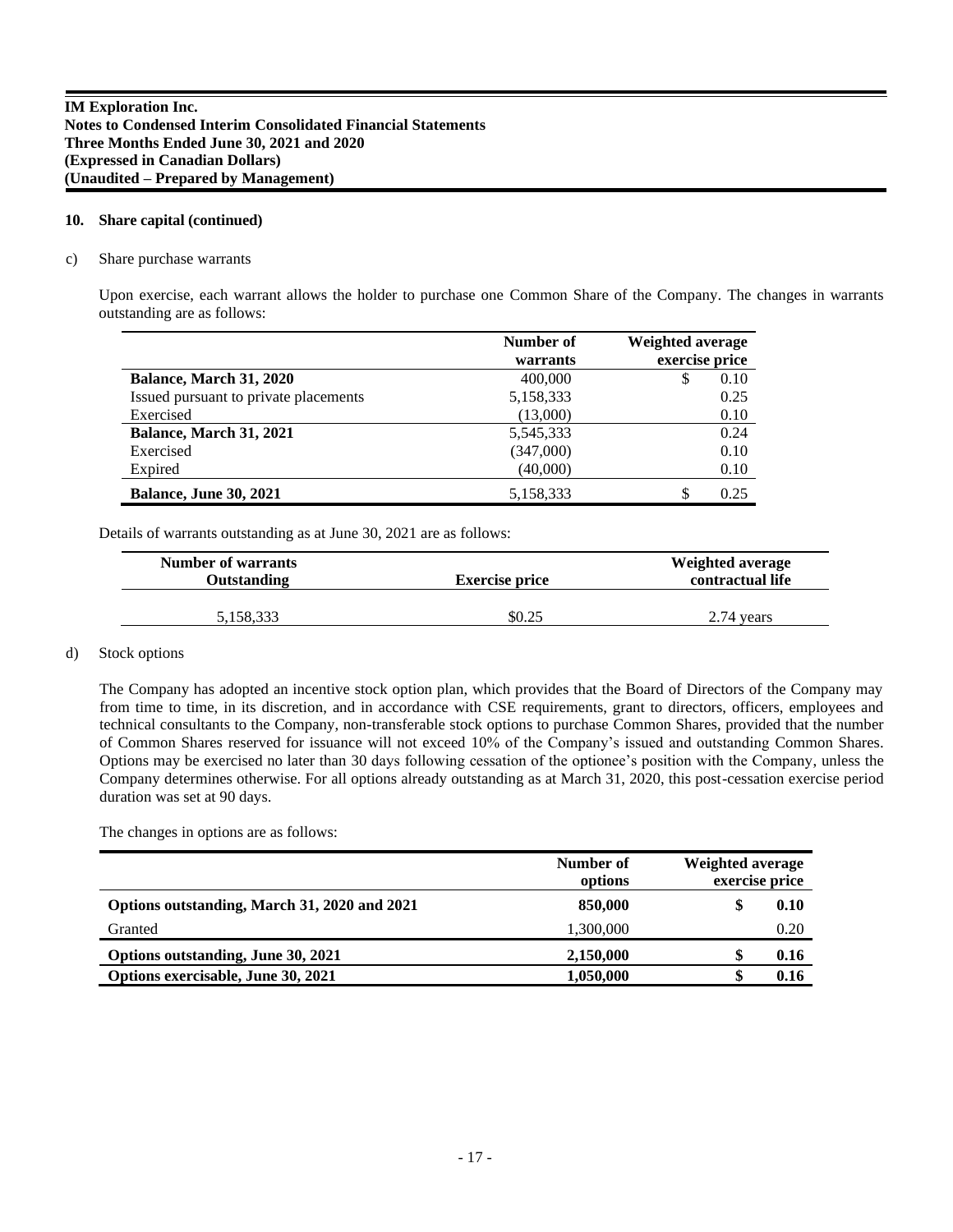#### **10. Share capital (continued)**

#### c) Share purchase warrants

Upon exercise, each warrant allows the holder to purchase one Common Share of the Company. The changes in warrants outstanding are as follows:

|                                       | Number of<br>warrants | Weighted average<br>exercise price |
|---------------------------------------|-----------------------|------------------------------------|
| Balance, March 31, 2020               | 400,000               | 0.10<br>\$                         |
| Issued pursuant to private placements | 5,158,333             | 0.25                               |
| Exercised                             | (13,000)              | 0.10                               |
| Balance, March 31, 2021               | 5,545,333             | 0.24                               |
| Exercised                             | (347,000)             | 0.10                               |
| Expired                               | (40,000)              | 0.10                               |
| <b>Balance, June 30, 2021</b>         | 5,158,333             | 0.25<br>S                          |

Details of warrants outstanding as at June 30, 2021 are as follows:

| <b>Number of warrants</b><br><b>Outstanding</b> | <b>Exercise price</b> | Weighted average<br>contractual life |
|-------------------------------------------------|-----------------------|--------------------------------------|
| 5.158.333                                       | \$0.25                | 2.74 years                           |

#### d) Stock options

The Company has adopted an incentive stock option plan, which provides that the Board of Directors of the Company may from time to time, in its discretion, and in accordance with CSE requirements, grant to directors, officers, employees and technical consultants to the Company, non-transferable stock options to purchase Common Shares, provided that the number of Common Shares reserved for issuance will not exceed 10% of the Company's issued and outstanding Common Shares. Options may be exercised no later than 30 days following cessation of the optionee's position with the Company, unless the Company determines otherwise. For all options already outstanding as at March 31, 2020, this post-cessation exercise period duration was set at 90 days.

The changes in options are as follows:

|                                              | Number of<br>options | Weighted average<br>exercise price |
|----------------------------------------------|----------------------|------------------------------------|
| Options outstanding, March 31, 2020 and 2021 | 850,000              | 0.10                               |
| Granted                                      | 1,300,000            | 0.20                               |
| Options outstanding, June 30, 2021           | 2,150,000            | 0.16                               |
| Options exercisable, June 30, 2021           | 1,050,000            | 0.16                               |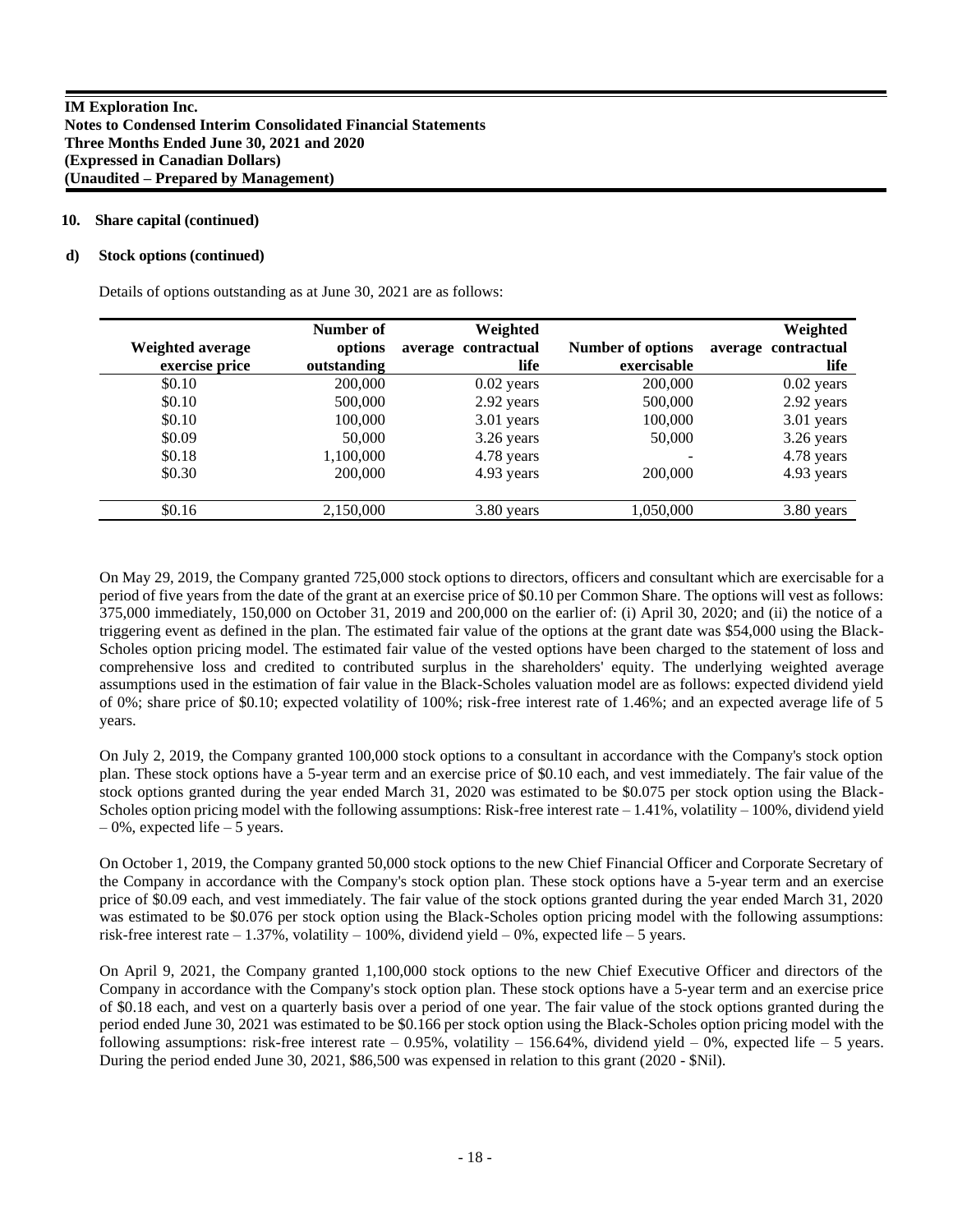#### **10. Share capital (continued)**

#### **d) Stock options (continued)**

Details of options outstanding as at June 30, 2021 are as follows:

|                  | Number of   | Weighted            |                   | Weighted            |
|------------------|-------------|---------------------|-------------------|---------------------|
| Weighted average | options     | average contractual | Number of options | average contractual |
| exercise price   | outstanding | life                | exercisable       | life                |
| \$0.10           | 200,000     | $0.02$ years        | 200,000           | $0.02$ years        |
| \$0.10           | 500,000     | 2.92 years          | 500,000           | 2.92 years          |
| \$0.10           | 100,000     | 3.01 years          | 100,000           | 3.01 years          |
| \$0.09           | 50,000      | 3.26 years          | 50,000            | 3.26 years          |
| \$0.18           | 1,100,000   | 4.78 years          |                   | 4.78 years          |
| \$0.30           | 200,000     | 4.93 years          | 200,000           | 4.93 years          |
| \$0.16           | 2,150,000   | 3.80 years          | 1,050,000         | 3.80 years          |

On May 29, 2019, the Company granted 725,000 stock options to directors, officers and consultant which are exercisable for a period of five years from the date of the grant at an exercise price of \$0.10 per Common Share. The options will vest as follows: 375,000 immediately, 150,000 on October 31, 2019 and 200,000 on the earlier of: (i) April 30, 2020; and (ii) the notice of a triggering event as defined in the plan. The estimated fair value of the options at the grant date was \$54,000 using the Black-Scholes option pricing model. The estimated fair value of the vested options have been charged to the statement of loss and comprehensive loss and credited to contributed surplus in the shareholders' equity. The underlying weighted average assumptions used in the estimation of fair value in the Black-Scholes valuation model are as follows: expected dividend yield of 0%; share price of \$0.10; expected volatility of 100%; risk-free interest rate of 1.46%; and an expected average life of 5 years.

On July 2, 2019, the Company granted 100,000 stock options to a consultant in accordance with the Company's stock option plan. These stock options have a 5-year term and an exercise price of \$0.10 each, and vest immediately. The fair value of the stock options granted during the year ended March 31, 2020 was estimated to be \$0.075 per stock option using the Black-Scholes option pricing model with the following assumptions: Risk-free interest rate  $-1.41\%$ , volatility  $-100\%$ , dividend yield  $-0\%$ , expected life  $-5$  years.

On October 1, 2019, the Company granted 50,000 stock options to the new Chief Financial Officer and Corporate Secretary of the Company in accordance with the Company's stock option plan. These stock options have a 5-year term and an exercise price of \$0.09 each, and vest immediately. The fair value of the stock options granted during the year ended March 31, 2020 was estimated to be \$0.076 per stock option using the Black-Scholes option pricing model with the following assumptions: risk-free interest rate  $-1.37\%$ , volatility  $-100\%$ , dividend yield  $-0\%$ , expected life  $-5$  years.

On April 9, 2021, the Company granted 1,100,000 stock options to the new Chief Executive Officer and directors of the Company in accordance with the Company's stock option plan. These stock options have a 5-year term and an exercise price of \$0.18 each, and vest on a quarterly basis over a period of one year. The fair value of the stock options granted during the period ended June 30, 2021 was estimated to be \$0.166 per stock option using the Black-Scholes option pricing model with the following assumptions: risk-free interest rate  $-0.95\%$ , volatility  $-156.64\%$ , dividend yield  $-0\%$ , expected life  $-5$  years. During the period ended June 30, 2021, \$86,500 was expensed in relation to this grant (2020 - \$Nil).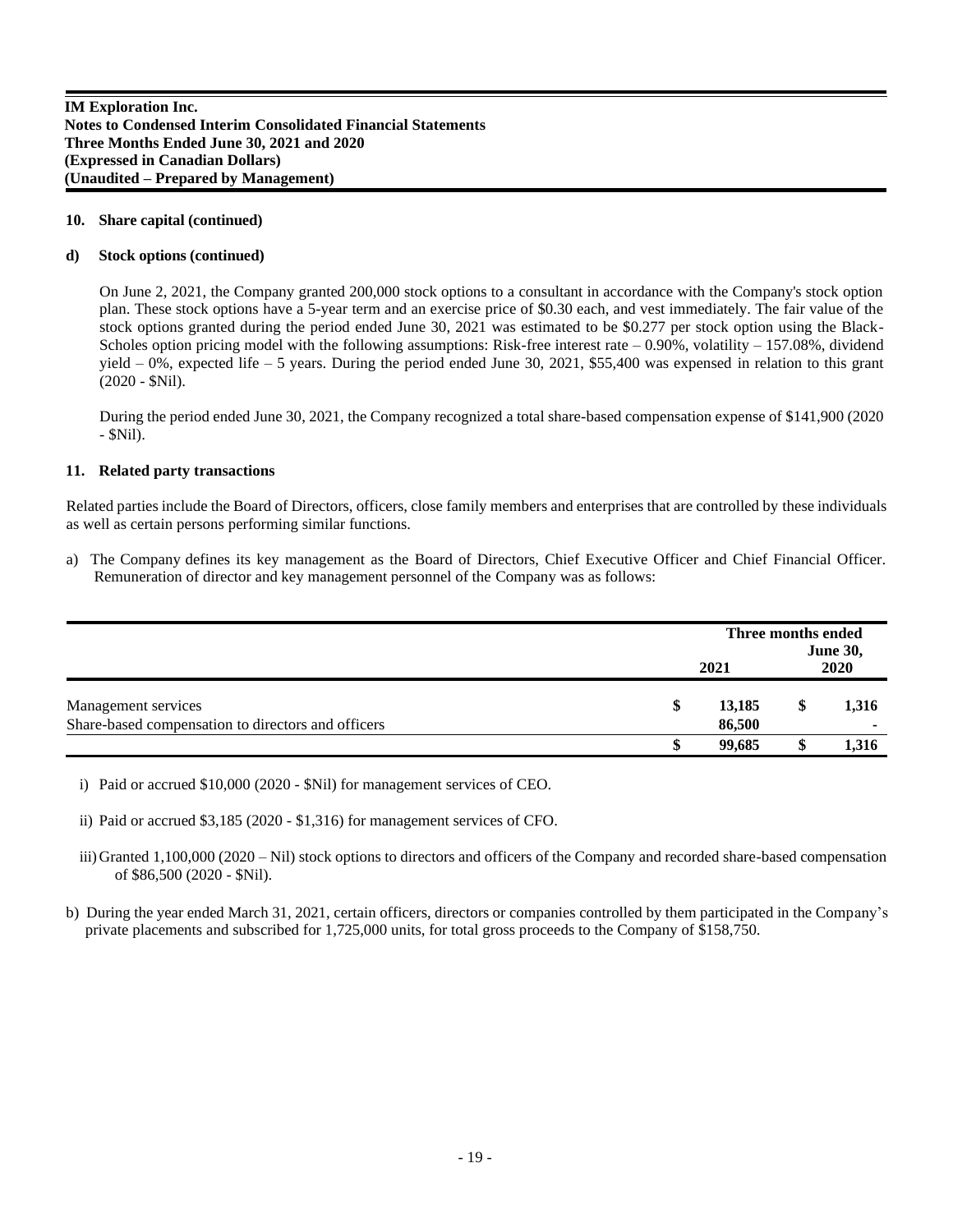#### **10. Share capital (continued)**

#### **d) Stock options (continued)**

On June 2, 2021, the Company granted 200,000 stock options to a consultant in accordance with the Company's stock option plan. These stock options have a 5-year term and an exercise price of \$0.30 each, and vest immediately. The fair value of the stock options granted during the period ended June 30, 2021 was estimated to be \$0.277 per stock option using the Black-Scholes option pricing model with the following assumptions: Risk-free interest rate  $-0.90\%$ , volatility  $-157.08\%$ , dividend yield  $-0\%$ , expected life  $-5$  years. During the period ended June 30, 2021, \$55,400 was expensed in relation to this grant (2020 - \$Nil).

During the period ended June 30, 2021, the Company recognized a total share-based compensation expense of \$141,900 (2020 - \$Nil).

#### **11. Related party transactions**

Related parties include the Board of Directors, officers, close family members and enterprises that are controlled by these individuals as well as certain persons performing similar functions.

a) The Company defines its key management as the Board of Directors, Chief Executive Officer and Chief Financial Officer. Remuneration of director and key management personnel of the Company was as follows:

|                                                                           | 2021 |                  | Three months ended<br><b>June 30,</b><br>2020 |       |
|---------------------------------------------------------------------------|------|------------------|-----------------------------------------------|-------|
| Management services<br>Share-based compensation to directors and officers | S    | 13,185<br>86,500 | æ                                             | 1,316 |
|                                                                           |      | 99.685           |                                               | 1,316 |

i) Paid or accrued \$10,000 (2020 - \$Nil) for management services of CEO.

ii) Paid or accrued \$3,185 (2020 - \$1,316) for management services of CFO.

iii) Granted 1,100,000 (2020 – Nil) stock options to directors and officers of the Company and recorded share-based compensation of \$86,500 (2020 - \$Nil).

 b) During the year ended March 31, 2021, certain officers, directors or companies controlled by them participated in the Company's private placements and subscribed for 1,725,000 units, for total gross proceeds to the Company of \$158,750.